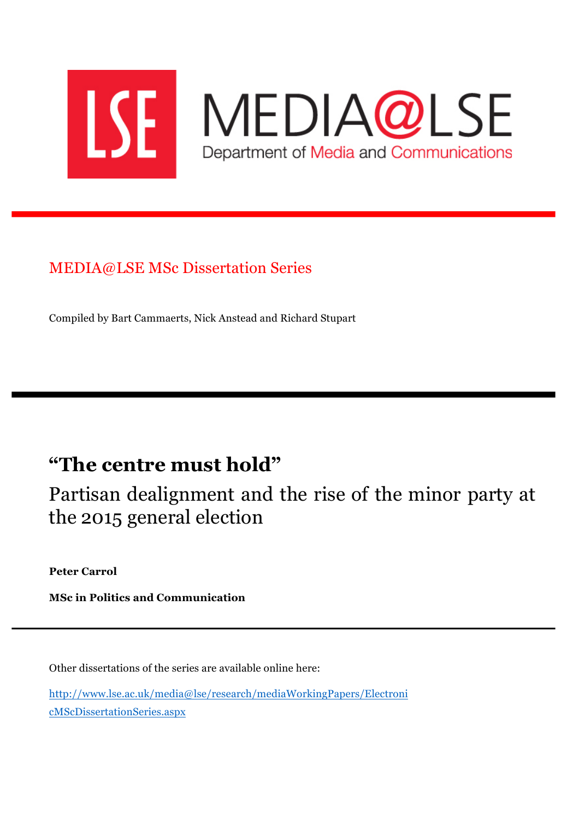

# MEDIA@LSE MSc Dissertation Series

Compiled by Bart Cammaerts, Nick Anstead and Richard Stupart

# **"The centre must hold"**

Partisan dealignment and the rise of the minor party at the 2015 general election

**Peter Carrol**

**MSc in Politics and Communication**

Other dissertations of the series are available online here:

http://www.lse.ac.uk/media@lse/research/mediaWorkingPapers/Electroni cMScDissertationSeries.aspx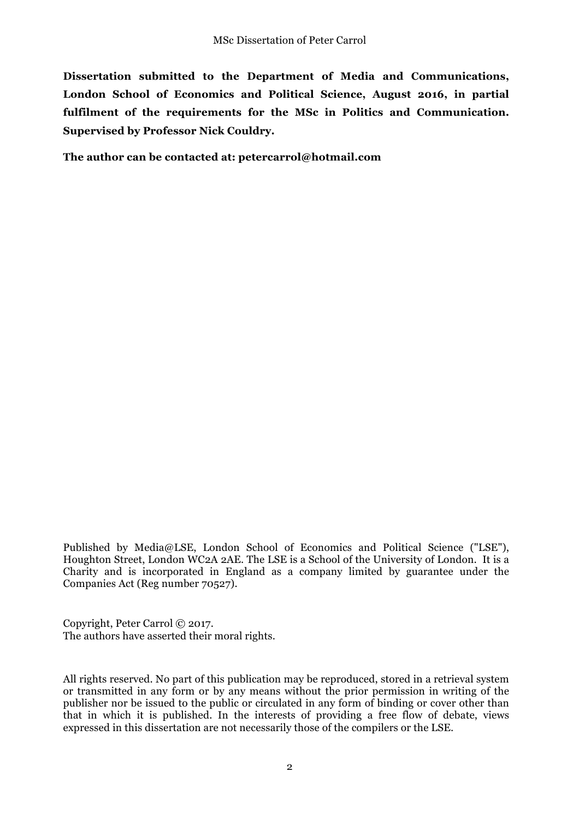**Dissertation submitted to the Department of Media and Communications, London School of Economics and Political Science, August 2016, in partial fulfilment of the requirements for the MSc in Politics and Communication. Supervised by Professor Nick Couldry.** 

**The author can be contacted at: petercarrol@hotmail.com**

Published by Media@LSE, London School of Economics and Political Science ("LSE"), Houghton Street, London WC2A 2AE. The LSE is a School of the University of London. It is a Charity and is incorporated in England as a company limited by guarantee under the Companies Act (Reg number 70527).

Copyright, Peter Carrol © 2017. The authors have asserted their moral rights.

All rights reserved. No part of this publication may be reproduced, stored in a retrieval system or transmitted in any form or by any means without the prior permission in writing of the publisher nor be issued to the public or circulated in any form of binding or cover other than that in which it is published. In the interests of providing a free flow of debate, views expressed in this dissertation are not necessarily those of the compilers or the LSE.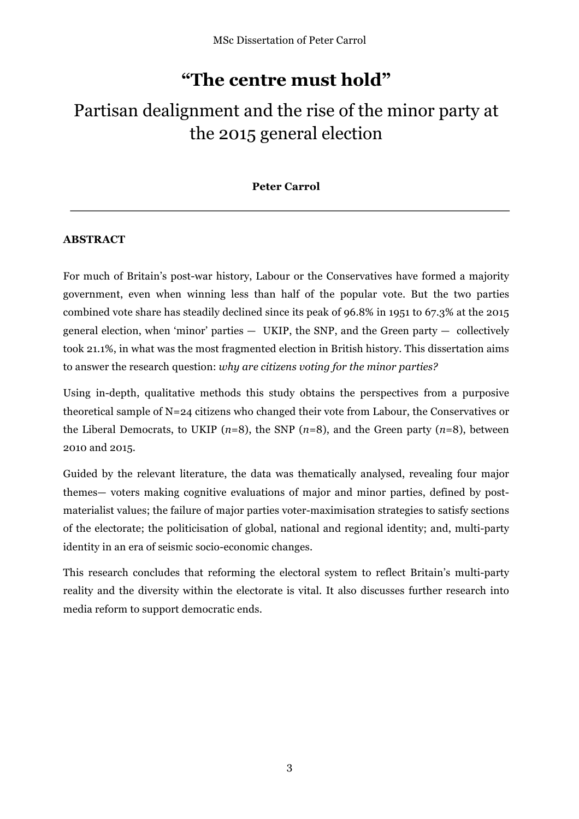# **"The centre must hold"**

# Partisan dealignment and the rise of the minor party at the 2015 general election

## **Peter Carrol**

## **ABSTRACT**

For much of Britain's post-war history, Labour or the Conservatives have formed a majority government, even when winning less than half of the popular vote. But the two parties combined vote share has steadily declined since its peak of 96.8% in 1951 to 67.3% at the 2015 general election, when 'minor' parties  $-$  UKIP, the SNP, and the Green party  $-$  collectively took 21.1%, in what was the most fragmented election in British history. This dissertation aims to answer the research question: *why are citizens voting for the minor parties?*

Using in-depth, qualitative methods this study obtains the perspectives from a purposive theoretical sample of N=24 citizens who changed their vote from Labour, the Conservatives or the Liberal Democrats, to UKIP (*n*=8), the SNP (*n*=8), and the Green party (*n*=8), between 2010 and 2015.

Guided by the relevant literature, the data was thematically analysed, revealing four major themes— voters making cognitive evaluations of major and minor parties, defined by postmaterialist values; the failure of major parties voter-maximisation strategies to satisfy sections of the electorate; the politicisation of global, national and regional identity; and, multi-party identity in an era of seismic socio-economic changes.

This research concludes that reforming the electoral system to reflect Britain's multi-party reality and the diversity within the electorate is vital. It also discusses further research into media reform to support democratic ends.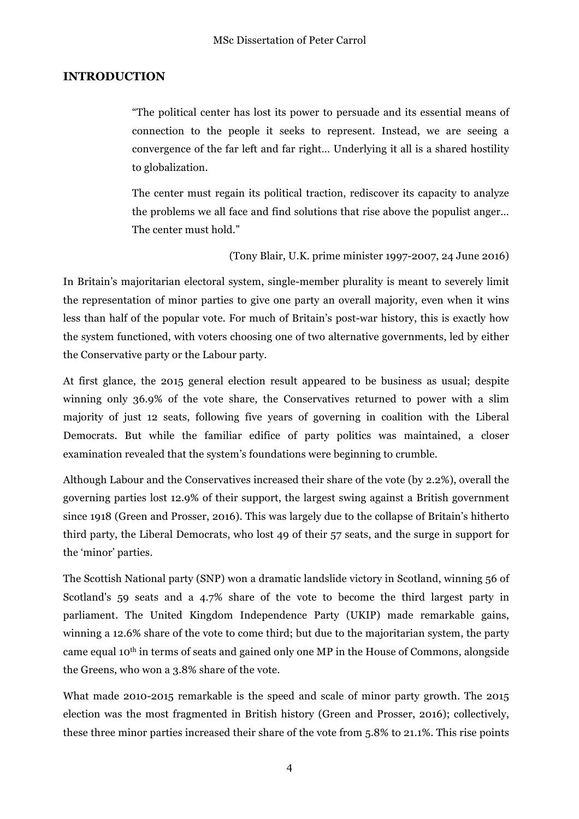#### **INTRODUCTION**

"The political center has lost its power to persuade and its essential means of connection to the people it seeks to represent. Instead, we are seeing a convergence of the far left and far right… Underlying it all is a shared hostility to globalization.

The center must regain its political traction, rediscover its capacity to analyze the problems we all face and find solutions that rise above the populist anger… The center must hold."

(Tony Blair, U.K. prime minister 1997-2007, 24 June 2016)

In Britain's majoritarian electoral system, single-member plurality is meant to severely limit the representation of minor parties to give one party an overall majority, even when it wins less than half of the popular vote. For much of Britain's post-war history, this is exactly how the system functioned, with voters choosing one of two alternative governments, led by either the Conservative party or the Labour party.

At first glance, the 2015 general election result appeared to be business as usual; despite winning only 36.9% of the vote share, the Conservatives returned to power with a slim majority of just 12 seats, following five years of governing in coalition with the Liberal Democrats. But while the familiar edifice of party politics was maintained, a closer examination revealed that the system's foundations were beginning to crumble.

Although Labour and the Conservatives increased their share of the vote (by 2.2%), overall the governing parties lost 12.9% of their support, the largest swing against a British government since 1918 (Green and Prosser, 2016). This was largely due to the collapse of Britain's hitherto third party, the Liberal Democrats, who lost 49 of their 57 seats, and the surge in support for the 'minor' parties.

The Scottish National party (SNP) won a dramatic landslide victory in Scotland, winning 56 of Scotland's 59 seats and a 4.7% share of the vote to become the third largest party in parliament. The United Kingdom Independence Party (UKIP) made remarkable gains, winning a 12.6% share of the vote to come third; but due to the majoritarian system, the party came equal 10<sup>th</sup> in terms of seats and gained only one MP in the House of Commons, alongside the Greens, who won a 3.8% share of the vote.

What made 2010-2015 remarkable is the speed and scale of minor party growth. The 2015 election was the most fragmented in British history (Green and Prosser, 2016); collectively, these three minor parties increased their share of the vote from 5.8% to 21.1%. This rise points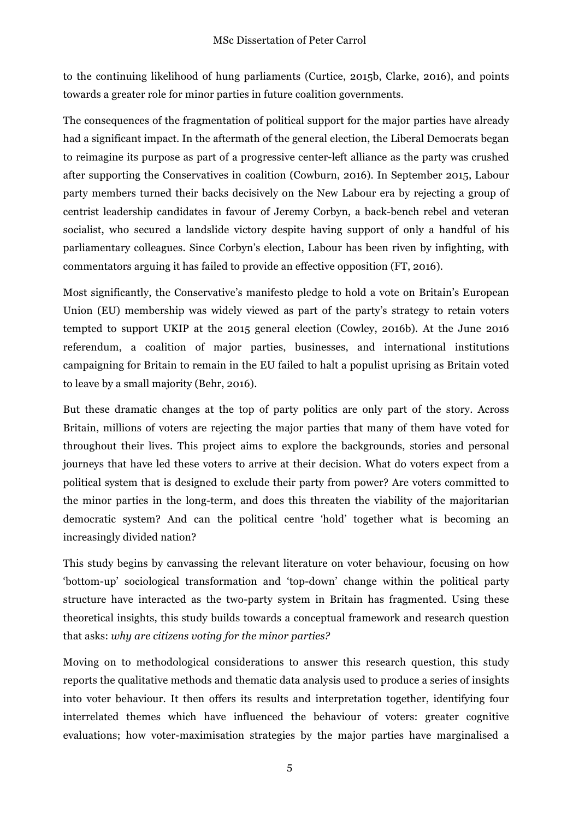to the continuing likelihood of hung parliaments (Curtice, 2015b, Clarke, 2016), and points towards a greater role for minor parties in future coalition governments.

The consequences of the fragmentation of political support for the major parties have already had a significant impact. In the aftermath of the general election, the Liberal Democrats began to reimagine its purpose as part of a progressive center-left alliance as the party was crushed after supporting the Conservatives in coalition (Cowburn, 2016). In September 2015, Labour party members turned their backs decisively on the New Labour era by rejecting a group of centrist leadership candidates in favour of Jeremy Corbyn, a back-bench rebel and veteran socialist, who secured a landslide victory despite having support of only a handful of his parliamentary colleagues. Since Corbyn's election, Labour has been riven by infighting, with commentators arguing it has failed to provide an effective opposition (FT, 2016).

Most significantly, the Conservative's manifesto pledge to hold a vote on Britain's European Union (EU) membership was widely viewed as part of the party's strategy to retain voters tempted to support UKIP at the 2015 general election (Cowley, 2016b). At the June 2016 referendum, a coalition of major parties, businesses, and international institutions campaigning for Britain to remain in the EU failed to halt a populist uprising as Britain voted to leave by a small majority (Behr, 2016).

But these dramatic changes at the top of party politics are only part of the story. Across Britain, millions of voters are rejecting the major parties that many of them have voted for throughout their lives. This project aims to explore the backgrounds, stories and personal journeys that have led these voters to arrive at their decision. What do voters expect from a political system that is designed to exclude their party from power? Are voters committed to the minor parties in the long-term, and does this threaten the viability of the majoritarian democratic system? And can the political centre 'hold' together what is becoming an increasingly divided nation?

This study begins by canvassing the relevant literature on voter behaviour, focusing on how 'bottom-up' sociological transformation and 'top-down' change within the political party structure have interacted as the two-party system in Britain has fragmented. Using these theoretical insights, this study builds towards a conceptual framework and research question that asks: *why are citizens voting for the minor parties?* 

Moving on to methodological considerations to answer this research question, this study reports the qualitative methods and thematic data analysis used to produce a series of insights into voter behaviour. It then offers its results and interpretation together, identifying four interrelated themes which have influenced the behaviour of voters: greater cognitive evaluations; how voter-maximisation strategies by the major parties have marginalised a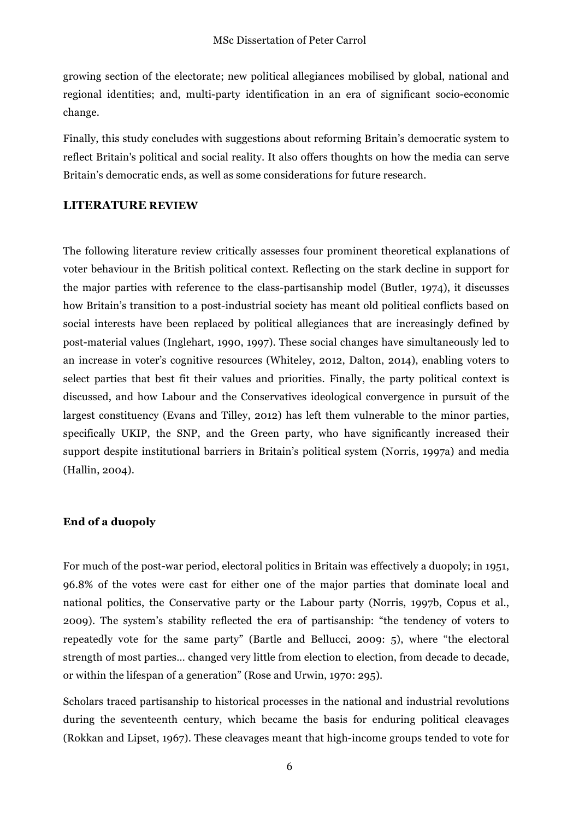growing section of the electorate; new political allegiances mobilised by global, national and regional identities; and, multi-party identification in an era of significant socio-economic change.

Finally, this study concludes with suggestions about reforming Britain's democratic system to reflect Britain's political and social reality. It also offers thoughts on how the media can serve Britain's democratic ends, as well as some considerations for future research.

#### **LITERATURE REVIEW**

The following literature review critically assesses four prominent theoretical explanations of voter behaviour in the British political context. Reflecting on the stark decline in support for the major parties with reference to the class-partisanship model (Butler, 1974), it discusses how Britain's transition to a post-industrial society has meant old political conflicts based on social interests have been replaced by political allegiances that are increasingly defined by post-material values (Inglehart, 1990, 1997). These social changes have simultaneously led to an increase in voter's cognitive resources (Whiteley, 2012, Dalton, 2014), enabling voters to select parties that best fit their values and priorities. Finally, the party political context is discussed, and how Labour and the Conservatives ideological convergence in pursuit of the largest constituency (Evans and Tilley, 2012) has left them vulnerable to the minor parties, specifically UKIP, the SNP, and the Green party, who have significantly increased their support despite institutional barriers in Britain's political system (Norris, 1997a) and media (Hallin, 2004).

#### **End of a duopoly**

For much of the post-war period, electoral politics in Britain was effectively a duopoly; in 1951, 96.8% of the votes were cast for either one of the major parties that dominate local and national politics, the Conservative party or the Labour party (Norris, 1997b, Copus et al., 2009). The system's stability reflected the era of partisanship: "the tendency of voters to repeatedly vote for the same party" (Bartle and Bellucci, 2009: 5), where "the electoral strength of most parties… changed very little from election to election, from decade to decade, or within the lifespan of a generation" (Rose and Urwin, 1970: 295).

Scholars traced partisanship to historical processes in the national and industrial revolutions during the seventeenth century, which became the basis for enduring political cleavages (Rokkan and Lipset, 1967). These cleavages meant that high-income groups tended to vote for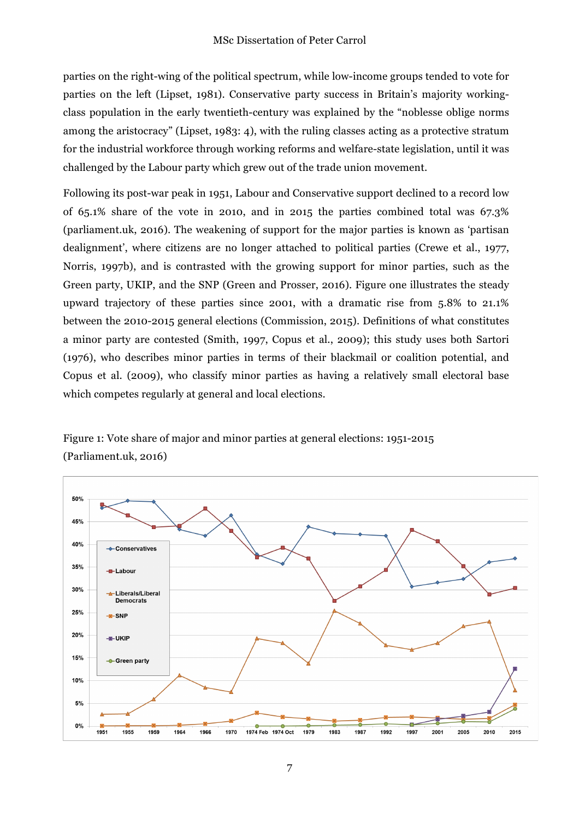parties on the right-wing of the political spectrum, while low-income groups tended to vote for parties on the left (Lipset, 1981). Conservative party success in Britain's majority workingclass population in the early twentieth-century was explained by the "noblesse oblige norms among the aristocracy" (Lipset, 1983: 4), with the ruling classes acting as a protective stratum for the industrial workforce through working reforms and welfare-state legislation, until it was challenged by the Labour party which grew out of the trade union movement.

Following its post-war peak in 1951, Labour and Conservative support declined to a record low of 65.1% share of the vote in 2010, and in 2015 the parties combined total was 67.3% (parliament.uk, 2016). The weakening of support for the major parties is known as 'partisan dealignment', where citizens are no longer attached to political parties (Crewe et al., 1977, Norris, 1997b), and is contrasted with the growing support for minor parties, such as the Green party, UKIP, and the SNP (Green and Prosser, 2016). Figure one illustrates the steady upward trajectory of these parties since 2001, with a dramatic rise from 5.8% to 21.1% between the 2010-2015 general elections (Commission, 2015). Definitions of what constitutes a minor party are contested (Smith, 1997, Copus et al., 2009); this study uses both Sartori (1976), who describes minor parties in terms of their blackmail or coalition potential, and Copus et al. (2009), who classify minor parties as having a relatively small electoral base which competes regularly at general and local elections.

Figure 1: Vote share of major and minor parties at general elections: 1951-2015 (Parliament.uk, 2016)



7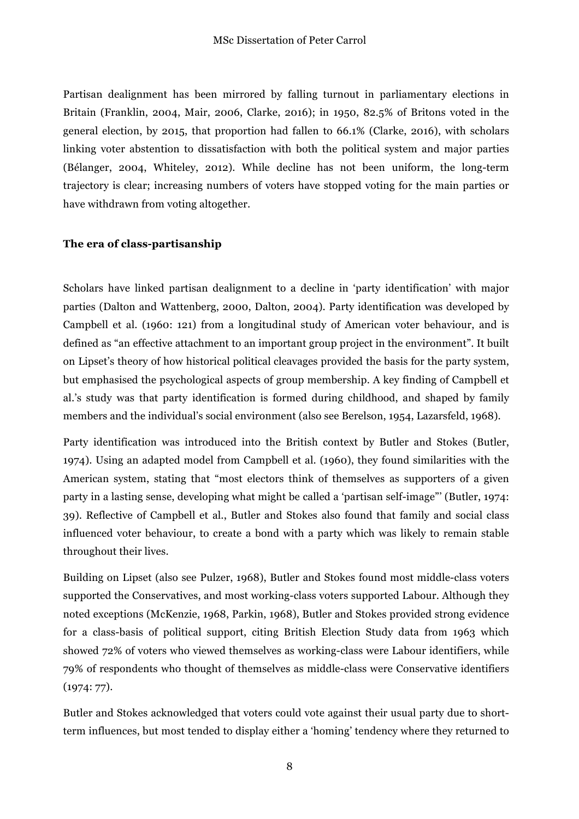Partisan dealignment has been mirrored by falling turnout in parliamentary elections in Britain (Franklin, 2004, Mair, 2006, Clarke, 2016); in 1950, 82.5% of Britons voted in the general election, by 2015, that proportion had fallen to 66.1% (Clarke, 2016), with scholars linking voter abstention to dissatisfaction with both the political system and major parties (Bélanger, 2004, Whiteley, 2012). While decline has not been uniform, the long-term trajectory is clear; increasing numbers of voters have stopped voting for the main parties or have withdrawn from voting altogether.

#### **The era of class-partisanship**

Scholars have linked partisan dealignment to a decline in 'party identification' with major parties (Dalton and Wattenberg, 2000, Dalton, 2004). Party identification was developed by Campbell et al. (1960: 121) from a longitudinal study of American voter behaviour, and is defined as "an effective attachment to an important group project in the environment". It built on Lipset's theory of how historical political cleavages provided the basis for the party system, but emphasised the psychological aspects of group membership. A key finding of Campbell et al.'s study was that party identification is formed during childhood, and shaped by family members and the individual's social environment (also see Berelson, 1954, Lazarsfeld, 1968).

Party identification was introduced into the British context by Butler and Stokes (Butler, 1974). Using an adapted model from Campbell et al. (1960), they found similarities with the American system, stating that "most electors think of themselves as supporters of a given party in a lasting sense, developing what might be called a 'partisan self-image"' (Butler, 1974: 39). Reflective of Campbell et al., Butler and Stokes also found that family and social class influenced voter behaviour, to create a bond with a party which was likely to remain stable throughout their lives.

Building on Lipset (also see Pulzer, 1968), Butler and Stokes found most middle-class voters supported the Conservatives, and most working-class voters supported Labour. Although they noted exceptions (McKenzie, 1968, Parkin, 1968), Butler and Stokes provided strong evidence for a class-basis of political support, citing British Election Study data from 1963 which showed 72% of voters who viewed themselves as working-class were Labour identifiers, while 79% of respondents who thought of themselves as middle-class were Conservative identifiers (1974: 77).

Butler and Stokes acknowledged that voters could vote against their usual party due to shortterm influences, but most tended to display either a 'homing' tendency where they returned to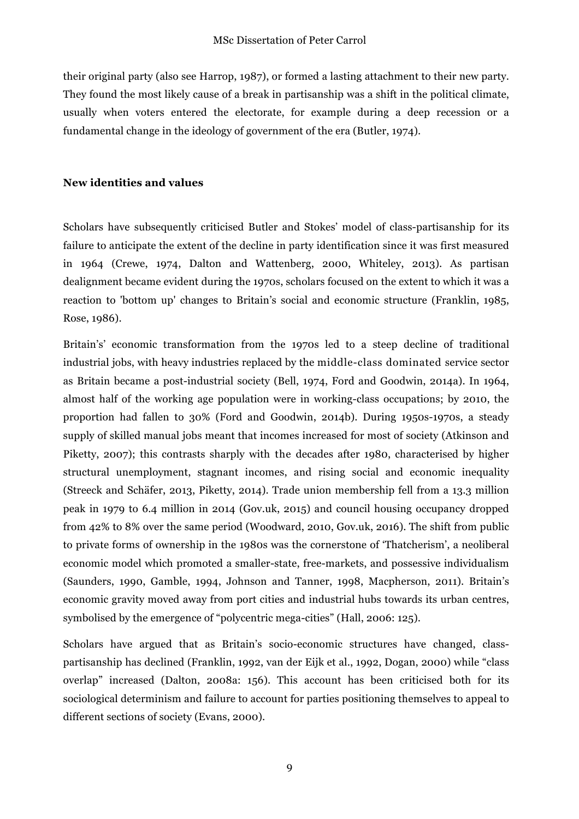their original party (also see Harrop, 1987), or formed a lasting attachment to their new party. They found the most likely cause of a break in partisanship was a shift in the political climate, usually when voters entered the electorate, for example during a deep recession or a fundamental change in the ideology of government of the era (Butler, 1974).

#### **New identities and values**

Scholars have subsequently criticised Butler and Stokes' model of class-partisanship for its failure to anticipate the extent of the decline in party identification since it was first measured in 1964 (Crewe, 1974, Dalton and Wattenberg, 2000, Whiteley, 2013). As partisan dealignment became evident during the 1970s, scholars focused on the extent to which it was a reaction to 'bottom up' changes to Britain's social and economic structure (Franklin, 1985, Rose, 1986).

Britain's' economic transformation from the 1970s led to a steep decline of traditional industrial jobs, with heavy industries replaced by the middle-class dominated service sector as Britain became a post-industrial society (Bell, 1974, Ford and Goodwin, 2014a). In 1964, almost half of the working age population were in working-class occupations; by 2010, the proportion had fallen to 30% (Ford and Goodwin, 2014b). During 1950s-1970s, a steady supply of skilled manual jobs meant that incomes increased for most of society (Atkinson and Piketty, 2007); this contrasts sharply with the decades after 1980, characterised by higher structural unemployment, stagnant incomes, and rising social and economic inequality (Streeck and Schäfer, 2013, Piketty, 2014). Trade union membership fell from a 13.3 million peak in 1979 to 6.4 million in 2014 (Gov.uk, 2015) and council housing occupancy dropped from 42% to 8% over the same period (Woodward, 2010, Gov.uk, 2016). The shift from public to private forms of ownership in the 1980s was the cornerstone of 'Thatcherism', a neoliberal economic model which promoted a smaller-state, free-markets, and possessive individualism (Saunders, 1990, Gamble, 1994, Johnson and Tanner, 1998, Macpherson, 2011). Britain's economic gravity moved away from port cities and industrial hubs towards its urban centres, symbolised by the emergence of "polycentric mega-cities" (Hall, 2006: 125).

Scholars have argued that as Britain's socio-economic structures have changed, classpartisanship has declined (Franklin, 1992, van der Eijk et al., 1992, Dogan, 2000) while "class overlap" increased (Dalton, 2008a: 156). This account has been criticised both for its sociological determinism and failure to account for parties positioning themselves to appeal to different sections of society (Evans, 2000).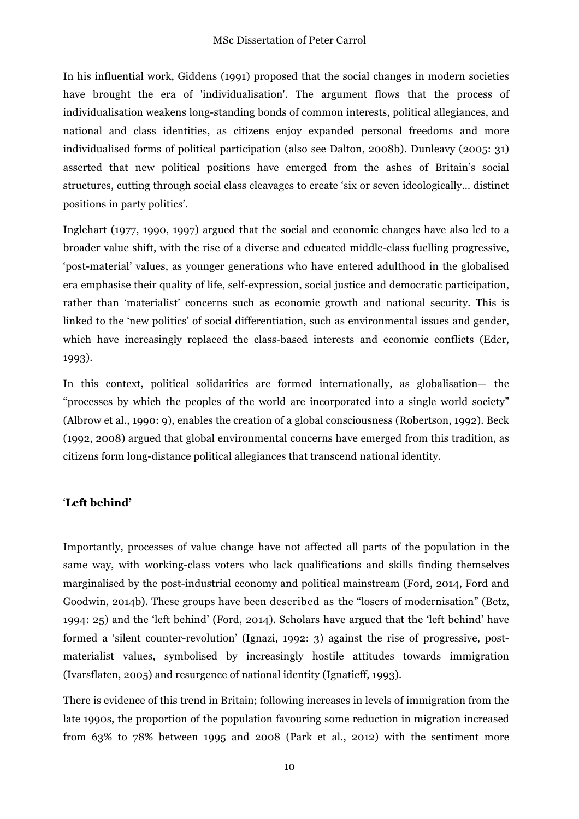In his influential work, Giddens (1991) proposed that the social changes in modern societies have brought the era of 'individualisation'. The argument flows that the process of individualisation weakens long-standing bonds of common interests, political allegiances, and national and class identities, as citizens enjoy expanded personal freedoms and more individualised forms of political participation (also see Dalton, 2008b). Dunleavy (2005: 31) asserted that new political positions have emerged from the ashes of Britain's social structures, cutting through social class cleavages to create 'six or seven ideologically… distinct positions in party politics'.

Inglehart (1977, 1990, 1997) argued that the social and economic changes have also led to a broader value shift, with the rise of a diverse and educated middle-class fuelling progressive, 'post-material' values, as younger generations who have entered adulthood in the globalised era emphasise their quality of life, self-expression, social justice and democratic participation, rather than 'materialist' concerns such as economic growth and national security. This is linked to the 'new politics' of social differentiation, such as environmental issues and gender, which have increasingly replaced the class-based interests and economic conflicts (Eder, 1993).

In this context, political solidarities are formed internationally, as globalisation— the "processes by which the peoples of the world are incorporated into a single world society" (Albrow et al., 1990: 9), enables the creation of a global consciousness (Robertson, 1992). Beck (1992, 2008) argued that global environmental concerns have emerged from this tradition, as citizens form long-distance political allegiances that transcend national identity.

#### '**Left behind'**

Importantly, processes of value change have not affected all parts of the population in the same way, with working-class voters who lack qualifications and skills finding themselves marginalised by the post-industrial economy and political mainstream (Ford, 2014, Ford and Goodwin, 2014b). These groups have been described as the "losers of modernisation" (Betz, 1994: 25) and the 'left behind' (Ford, 2014). Scholars have argued that the 'left behind' have formed a 'silent counter-revolution' (Ignazi, 1992: 3) against the rise of progressive, postmaterialist values, symbolised by increasingly hostile attitudes towards immigration (Ivarsflaten, 2005) and resurgence of national identity (Ignatieff, 1993).

There is evidence of this trend in Britain; following increases in levels of immigration from the late 1990s, the proportion of the population favouring some reduction in migration increased from 63% to 78% between 1995 and 2008 (Park et al., 2012) with the sentiment more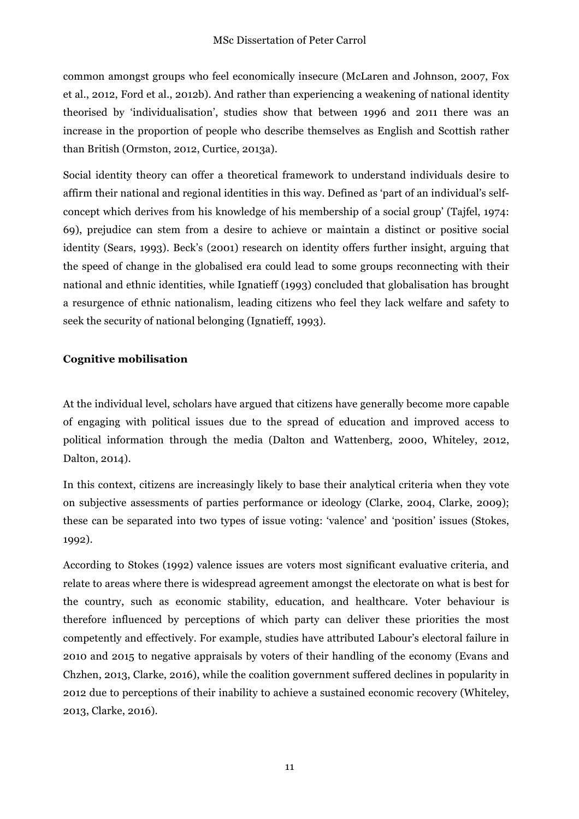common amongst groups who feel economically insecure (McLaren and Johnson, 2007, Fox et al., 2012, Ford et al., 2012b). And rather than experiencing a weakening of national identity theorised by 'individualisation', studies show that between 1996 and 2011 there was an increase in the proportion of people who describe themselves as English and Scottish rather than British (Ormston, 2012, Curtice, 2013a).

Social identity theory can offer a theoretical framework to understand individuals desire to affirm their national and regional identities in this way. Defined as 'part of an individual's selfconcept which derives from his knowledge of his membership of a social group' (Tajfel, 1974: 69), prejudice can stem from a desire to achieve or maintain a distinct or positive social identity (Sears, 1993). Beck's (2001) research on identity offers further insight, arguing that the speed of change in the globalised era could lead to some groups reconnecting with their national and ethnic identities, while Ignatieff (1993) concluded that globalisation has brought a resurgence of ethnic nationalism, leading citizens who feel they lack welfare and safety to seek the security of national belonging (Ignatieff, 1993).

## **Cognitive mobilisation**

At the individual level, scholars have argued that citizens have generally become more capable of engaging with political issues due to the spread of education and improved access to political information through the media (Dalton and Wattenberg, 2000, Whiteley, 2012, Dalton, 2014).

In this context, citizens are increasingly likely to base their analytical criteria when they vote on subjective assessments of parties performance or ideology (Clarke, 2004, Clarke, 2009); these can be separated into two types of issue voting: 'valence' and 'position' issues (Stokes, 1992).

According to Stokes (1992) valence issues are voters most significant evaluative criteria, and relate to areas where there is widespread agreement amongst the electorate on what is best for the country, such as economic stability, education, and healthcare. Voter behaviour is therefore influenced by perceptions of which party can deliver these priorities the most competently and effectively. For example, studies have attributed Labour's electoral failure in 2010 and 2015 to negative appraisals by voters of their handling of the economy (Evans and Chzhen, 2013, Clarke, 2016), while the coalition government suffered declines in popularity in 2012 due to perceptions of their inability to achieve a sustained economic recovery (Whiteley, 2013, Clarke, 2016).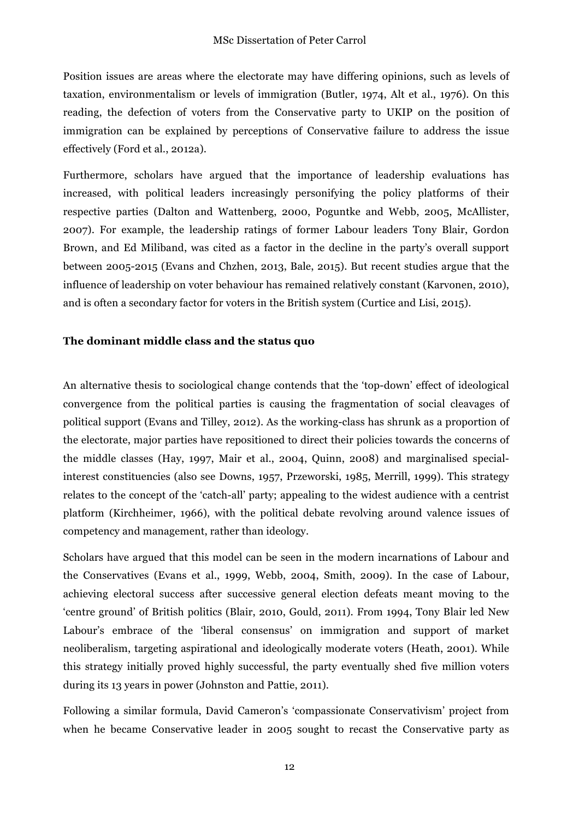Position issues are areas where the electorate may have differing opinions, such as levels of taxation, environmentalism or levels of immigration (Butler, 1974, Alt et al., 1976). On this reading, the defection of voters from the Conservative party to UKIP on the position of immigration can be explained by perceptions of Conservative failure to address the issue effectively (Ford et al., 2012a).

Furthermore, scholars have argued that the importance of leadership evaluations has increased, with political leaders increasingly personifying the policy platforms of their respective parties (Dalton and Wattenberg, 2000, Poguntke and Webb, 2005, McAllister, 2007). For example, the leadership ratings of former Labour leaders Tony Blair, Gordon Brown, and Ed Miliband, was cited as a factor in the decline in the party's overall support between 2005-2015 (Evans and Chzhen, 2013, Bale, 2015). But recent studies argue that the influence of leadership on voter behaviour has remained relatively constant (Karvonen, 2010), and is often a secondary factor for voters in the British system (Curtice and Lisi, 2015).

## **The dominant middle class and the status quo**

An alternative thesis to sociological change contends that the 'top-down' effect of ideological convergence from the political parties is causing the fragmentation of social cleavages of political support (Evans and Tilley, 2012). As the working-class has shrunk as a proportion of the electorate, major parties have repositioned to direct their policies towards the concerns of the middle classes (Hay, 1997, Mair et al., 2004, Quinn, 2008) and marginalised specialinterest constituencies (also see Downs, 1957, Przeworski, 1985, Merrill, 1999). This strategy relates to the concept of the 'catch-all' party; appealing to the widest audience with a centrist platform (Kirchheimer, 1966), with the political debate revolving around valence issues of competency and management, rather than ideology.

Scholars have argued that this model can be seen in the modern incarnations of Labour and the Conservatives (Evans et al., 1999, Webb, 2004, Smith, 2009). In the case of Labour, achieving electoral success after successive general election defeats meant moving to the 'centre ground' of British politics (Blair, 2010, Gould, 2011). From 1994, Tony Blair led New Labour's embrace of the 'liberal consensus' on immigration and support of market neoliberalism, targeting aspirational and ideologically moderate voters (Heath, 2001). While this strategy initially proved highly successful, the party eventually shed five million voters during its 13 years in power (Johnston and Pattie, 2011).

Following a similar formula, David Cameron's 'compassionate Conservativism' project from when he became Conservative leader in 2005 sought to recast the Conservative party as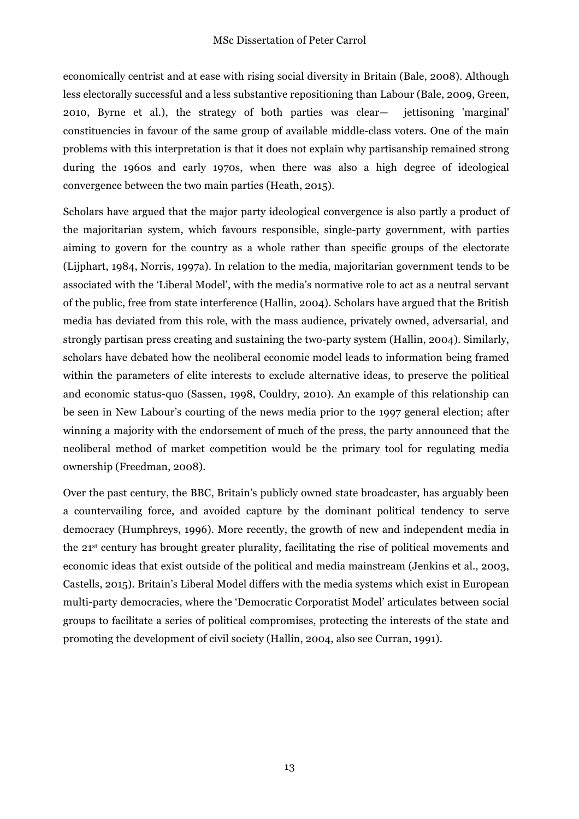economically centrist and at ease with rising social diversity in Britain (Bale, 2008). Although less electorally successful and a less substantive repositioning than Labour (Bale, 2009, Green, 2010, Byrne et al.), the strategy of both parties was clear— jettisoning 'marginal' constituencies in favour of the same group of available middle-class voters. One of the main problems with this interpretation is that it does not explain why partisanship remained strong during the 1960s and early 1970s, when there was also a high degree of ideological convergence between the two main parties (Heath, 2015).

Scholars have argued that the major party ideological convergence is also partly a product of the majoritarian system, which favours responsible, single-party government, with parties aiming to govern for the country as a whole rather than specific groups of the electorate (Lijphart, 1984, Norris, 1997a). In relation to the media, majoritarian government tends to be associated with the 'Liberal Model', with the media's normative role to act as a neutral servant of the public, free from state interference (Hallin, 2004). Scholars have argued that the British media has deviated from this role, with the mass audience, privately owned, adversarial, and strongly partisan press creating and sustaining the two-party system (Hallin, 2004). Similarly, scholars have debated how the neoliberal economic model leads to information being framed within the parameters of elite interests to exclude alternative ideas, to preserve the political and economic status-quo (Sassen, 1998, Couldry, 2010). An example of this relationship can be seen in New Labour's courting of the news media prior to the 1997 general election; after winning a majority with the endorsement of much of the press, the party announced that the neoliberal method of market competition would be the primary tool for regulating media ownership (Freedman, 2008).

Over the past century, the BBC, Britain's publicly owned state broadcaster, has arguably been a countervailing force, and avoided capture by the dominant political tendency to serve democracy (Humphreys, 1996). More recently, the growth of new and independent media in the 21st century has brought greater plurality, facilitating the rise of political movements and economic ideas that exist outside of the political and media mainstream (Jenkins et al., 2003, Castells, 2015). Britain's Liberal Model differs with the media systems which exist in European multi-party democracies, where the 'Democratic Corporatist Model' articulates between social groups to facilitate a series of political compromises, protecting the interests of the state and promoting the development of civil society (Hallin, 2004, also see Curran, 1991).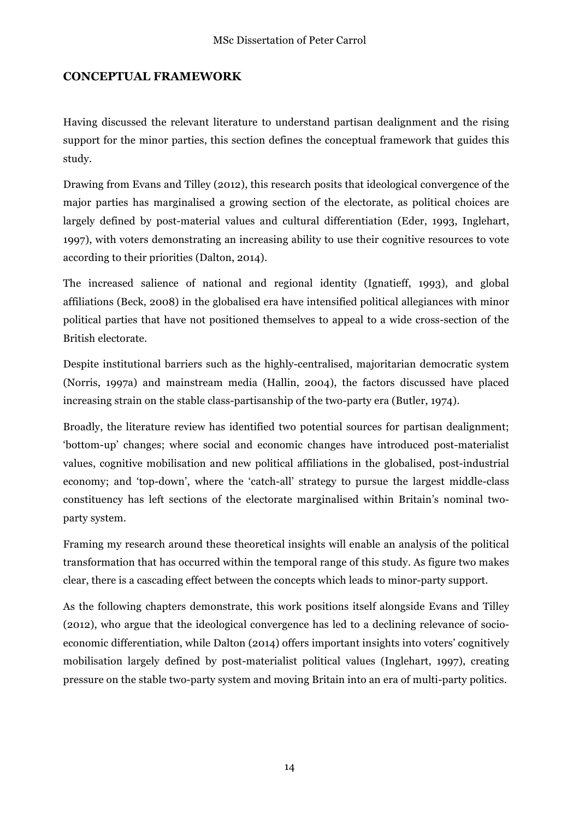## **CONCEPTUAL FRAMEWORK**

Having discussed the relevant literature to understand partisan dealignment and the rising support for the minor parties, this section defines the conceptual framework that guides this study.

Drawing from Evans and Tilley (2012), this research posits that ideological convergence of the major parties has marginalised a growing section of the electorate, as political choices are largely defined by post-material values and cultural differentiation (Eder, 1993, Inglehart, 1997), with voters demonstrating an increasing ability to use their cognitive resources to vote according to their priorities (Dalton, 2014).

The increased salience of national and regional identity (Ignatieff, 1993), and global affiliations (Beck, 2008) in the globalised era have intensified political allegiances with minor political parties that have not positioned themselves to appeal to a wide cross-section of the British electorate.

Despite institutional barriers such as the highly-centralised, majoritarian democratic system (Norris, 1997a) and mainstream media (Hallin, 2004), the factors discussed have placed increasing strain on the stable class-partisanship of the two-party era (Butler, 1974).

Broadly, the literature review has identified two potential sources for partisan dealignment; 'bottom-up' changes; where social and economic changes have introduced post-materialist values, cognitive mobilisation and new political affiliations in the globalised, post-industrial economy; and 'top-down', where the 'catch-all' strategy to pursue the largest middle-class constituency has left sections of the electorate marginalised within Britain's nominal twoparty system.

Framing my research around these theoretical insights will enable an analysis of the political transformation that has occurred within the temporal range of this study. As figure two makes clear, there is a cascading effect between the concepts which leads to minor-party support.

As the following chapters demonstrate, this work positions itself alongside Evans and Tilley (2012), who argue that the ideological convergence has led to a declining relevance of socioeconomic differentiation, while Dalton (2014) offers important insights into voters' cognitively mobilisation largely defined by post-materialist political values (Inglehart, 1997), creating pressure on the stable two-party system and moving Britain into an era of multi-party politics.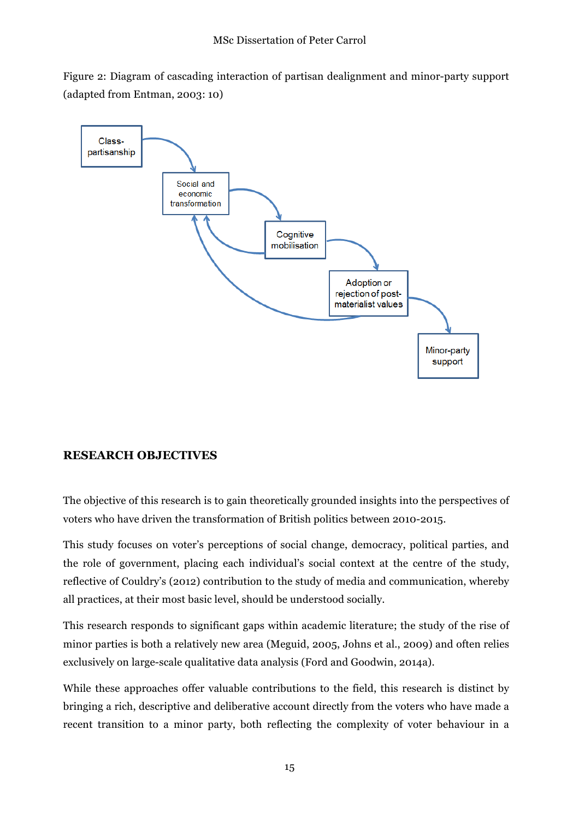Figure 2: Diagram of cascading interaction of partisan dealignment and minor-party support (adapted from Entman, 2003: 10)



## **RESEARCH OBJECTIVES**

The objective of this research is to gain theoretically grounded insights into the perspectives of voters who have driven the transformation of British politics between 2010-2015.

This study focuses on voter's perceptions of social change, democracy, political parties, and the role of government, placing each individual's social context at the centre of the study, reflective of Couldry's (2012) contribution to the study of media and communication, whereby all practices, at their most basic level, should be understood socially.

This research responds to significant gaps within academic literature; the study of the rise of minor parties is both a relatively new area (Meguid, 2005, Johns et al., 2009) and often relies exclusively on large-scale qualitative data analysis (Ford and Goodwin, 2014a).

While these approaches offer valuable contributions to the field, this research is distinct by bringing a rich, descriptive and deliberative account directly from the voters who have made a recent transition to a minor party, both reflecting the complexity of voter behaviour in a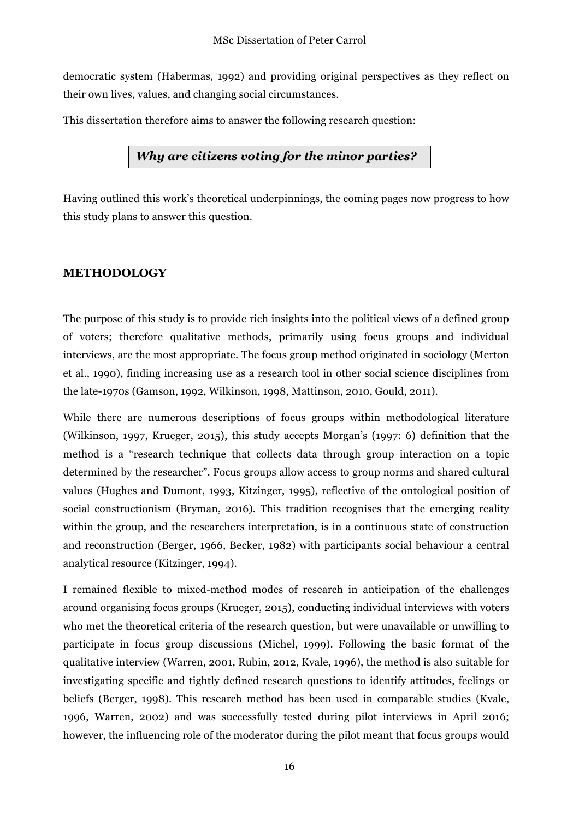democratic system (Habermas, 1992) and providing original perspectives as they reflect on their own lives, values, and changing social circumstances.

This dissertation therefore aims to answer the following research question:

## *Why are citizens voting for the minor parties?*

Having outlined this work's theoretical underpinnings, the coming pages now progress to how this study plans to answer this question.

## **METHODOLOGY**

The purpose of this study is to provide rich insights into the political views of a defined group of voters; therefore qualitative methods, primarily using focus groups and individual interviews, are the most appropriate. The focus group method originated in sociology (Merton et al., 1990), finding increasing use as a research tool in other social science disciplines from the late-1970s (Gamson, 1992, Wilkinson, 1998, Mattinson, 2010, Gould, 2011).

While there are numerous descriptions of focus groups within methodological literature (Wilkinson, 1997, Krueger, 2015), this study accepts Morgan's (1997: 6) definition that the method is a "research technique that collects data through group interaction on a topic determined by the researcher". Focus groups allow access to group norms and shared cultural values (Hughes and Dumont, 1993, Kitzinger, 1995), reflective of the ontological position of social constructionism (Bryman, 2016). This tradition recognises that the emerging reality within the group, and the researchers interpretation, is in a continuous state of construction and reconstruction (Berger, 1966, Becker, 1982) with participants social behaviour a central analytical resource (Kitzinger, 1994).

I remained flexible to mixed-method modes of research in anticipation of the challenges around organising focus groups (Krueger, 2015), conducting individual interviews with voters who met the theoretical criteria of the research question, but were unavailable or unwilling to participate in focus group discussions (Michel, 1999). Following the basic format of the qualitative interview (Warren, 2001, Rubin, 2012, Kvale, 1996), the method is also suitable for investigating specific and tightly defined research questions to identify attitudes, feelings or beliefs (Berger, 1998). This research method has been used in comparable studies (Kvale, 1996, Warren, 2002) and was successfully tested during pilot interviews in April 2016; however, the influencing role of the moderator during the pilot meant that focus groups would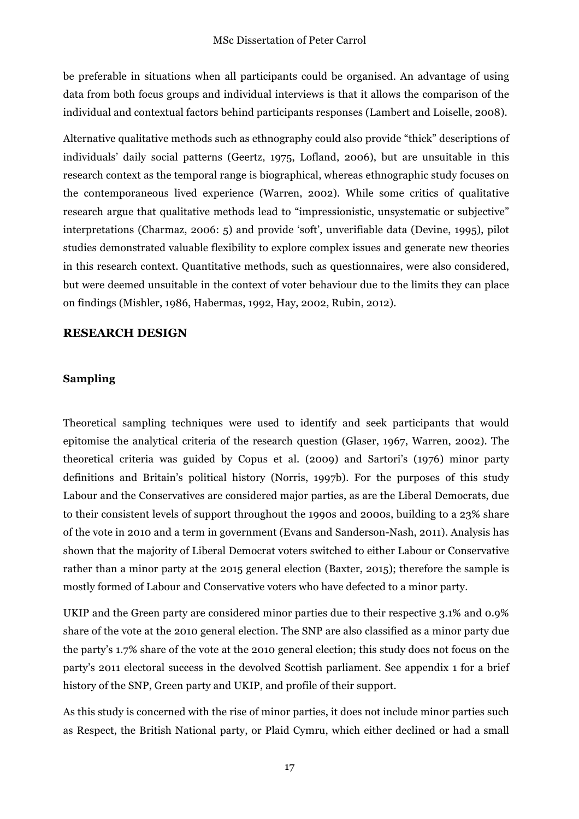be preferable in situations when all participants could be organised. An advantage of using data from both focus groups and individual interviews is that it allows the comparison of the individual and contextual factors behind participants responses (Lambert and Loiselle, 2008).

Alternative qualitative methods such as ethnography could also provide "thick" descriptions of individuals' daily social patterns (Geertz, 1975, Lofland, 2006), but are unsuitable in this research context as the temporal range is biographical, whereas ethnographic study focuses on the contemporaneous lived experience (Warren, 2002). While some critics of qualitative research argue that qualitative methods lead to "impressionistic, unsystematic or subjective" interpretations (Charmaz, 2006: 5) and provide 'soft', unverifiable data (Devine, 1995), pilot studies demonstrated valuable flexibility to explore complex issues and generate new theories in this research context. Quantitative methods, such as questionnaires, were also considered, but were deemed unsuitable in the context of voter behaviour due to the limits they can place on findings (Mishler, 1986, Habermas, 1992, Hay, 2002, Rubin, 2012).

#### **RESEARCH DESIGN**

#### **Sampling**

Theoretical sampling techniques were used to identify and seek participants that would epitomise the analytical criteria of the research question (Glaser, 1967, Warren, 2002). The theoretical criteria was guided by Copus et al. (2009) and Sartori's (1976) minor party definitions and Britain's political history (Norris, 1997b). For the purposes of this study Labour and the Conservatives are considered major parties, as are the Liberal Democrats, due to their consistent levels of support throughout the 1990s and 2000s, building to a 23% share of the vote in 2010 and a term in government (Evans and Sanderson-Nash, 2011). Analysis has shown that the majority of Liberal Democrat voters switched to either Labour or Conservative rather than a minor party at the 2015 general election (Baxter, 2015); therefore the sample is mostly formed of Labour and Conservative voters who have defected to a minor party.

UKIP and the Green party are considered minor parties due to their respective 3.1% and 0.9% share of the vote at the 2010 general election. The SNP are also classified as a minor party due the party's 1.7% share of the vote at the 2010 general election; this study does not focus on the party's 2011 electoral success in the devolved Scottish parliament. See appendix 1 for a brief history of the SNP, Green party and UKIP, and profile of their support.

As this study is concerned with the rise of minor parties, it does not include minor parties such as Respect, the British National party, or Plaid Cymru, which either declined or had a small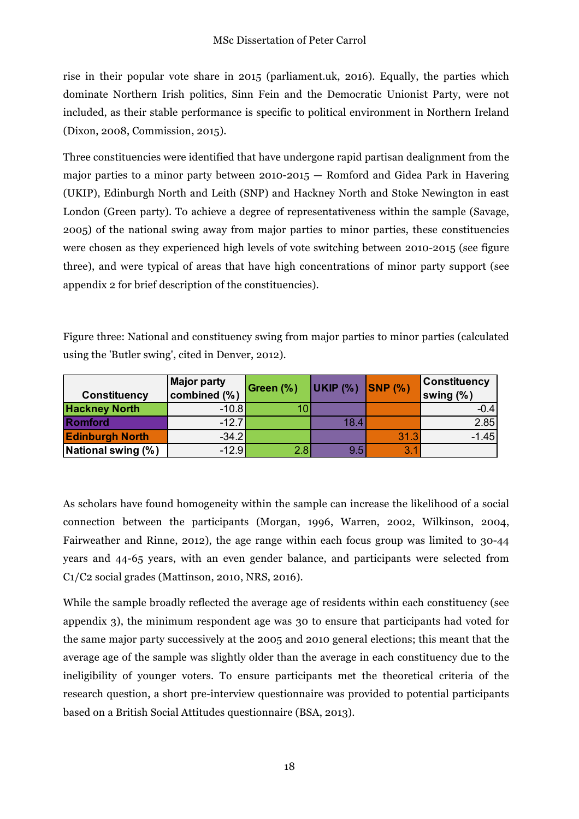rise in their popular vote share in 2015 (parliament.uk, 2016). Equally, the parties which dominate Northern Irish politics, Sinn Fein and the Democratic Unionist Party, were not included, as their stable performance is specific to political environment in Northern Ireland (Dixon, 2008, Commission, 2015).

Three constituencies were identified that have undergone rapid partisan dealignment from the major parties to a minor party between 2010-2015 — Romford and Gidea Park in Havering (UKIP), Edinburgh North and Leith (SNP) and Hackney North and Stoke Newington in east London (Green party). To achieve a degree of representativeness within the sample (Savage, 2005) of the national swing away from major parties to minor parties, these constituencies were chosen as they experienced high levels of vote switching between 2010-2015 (see figure three), and were typical of areas that have high concentrations of minor party support (see appendix 2 for brief description of the constituencies).

Figure three: National and constituency swing from major parties to minor parties (calculated using the 'Butler swing', cited in Denver, 2012).

| <b>Constituency</b>    | <b>Major party</b><br>combined (%) | Green (%) | UKIP (%) SNP (%) |      | <b>Constituency</b><br>swing $(\% )$ |
|------------------------|------------------------------------|-----------|------------------|------|--------------------------------------|
| <b>Hackney North</b>   | $-10.8$                            |           |                  |      | $-0.4$                               |
| <b>Romford</b>         | $-12.7$                            |           | 18.4             |      | 2.85                                 |
| <b>Edinburgh North</b> | $-34.2$                            |           |                  | 31.3 | $-1.45$                              |
| National swing (%)     | $-12.9$                            | 2.8       | 9.5              | 3.1  |                                      |

As scholars have found homogeneity within the sample can increase the likelihood of a social connection between the participants (Morgan, 1996, Warren, 2002, Wilkinson, 2004, Fairweather and Rinne, 2012), the age range within each focus group was limited to 30-44 years and 44-65 years, with an even gender balance, and participants were selected from C1/C2 social grades (Mattinson, 2010, NRS, 2016).

While the sample broadly reflected the average age of residents within each constituency (see appendix 3), the minimum respondent age was 30 to ensure that participants had voted for the same major party successively at the 2005 and 2010 general elections; this meant that the average age of the sample was slightly older than the average in each constituency due to the ineligibility of younger voters. To ensure participants met the theoretical criteria of the research question, a short pre-interview questionnaire was provided to potential participants based on a British Social Attitudes questionnaire (BSA, 2013).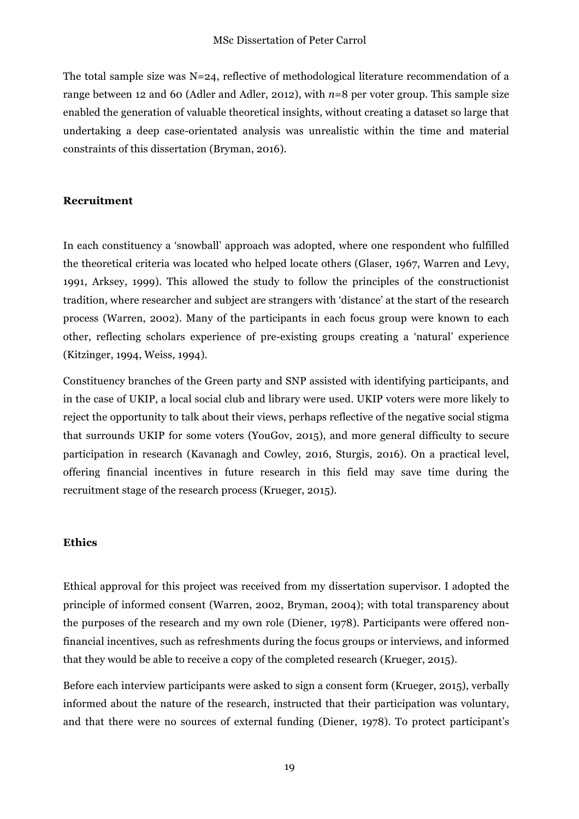The total sample size was N=24, reflective of methodological literature recommendation of a range between 12 and 60 (Adler and Adler, 2012), with  $n=8$  per voter group. This sample size enabled the generation of valuable theoretical insights, without creating a dataset so large that undertaking a deep case-orientated analysis was unrealistic within the time and material constraints of this dissertation (Bryman, 2016).

#### **Recruitment**

In each constituency a 'snowball' approach was adopted, where one respondent who fulfilled the theoretical criteria was located who helped locate others (Glaser, 1967, Warren and Levy, 1991, Arksey, 1999). This allowed the study to follow the principles of the constructionist tradition, where researcher and subject are strangers with 'distance' at the start of the research process (Warren, 2002). Many of the participants in each focus group were known to each other, reflecting scholars experience of pre-existing groups creating a 'natural' experience (Kitzinger, 1994, Weiss, 1994).

Constituency branches of the Green party and SNP assisted with identifying participants, and in the case of UKIP, a local social club and library were used. UKIP voters were more likely to reject the opportunity to talk about their views, perhaps reflective of the negative social stigma that surrounds UKIP for some voters (YouGov, 2015), and more general difficulty to secure participation in research (Kavanagh and Cowley, 2016, Sturgis, 2016). On a practical level, offering financial incentives in future research in this field may save time during the recruitment stage of the research process (Krueger, 2015).

#### **Ethics**

Ethical approval for this project was received from my dissertation supervisor. I adopted the principle of informed consent (Warren, 2002, Bryman, 2004); with total transparency about the purposes of the research and my own role (Diener, 1978). Participants were offered nonfinancial incentives, such as refreshments during the focus groups or interviews, and informed that they would be able to receive a copy of the completed research (Krueger, 2015).

Before each interview participants were asked to sign a consent form (Krueger, 2015), verbally informed about the nature of the research, instructed that their participation was voluntary, and that there were no sources of external funding (Diener, 1978). To protect participant's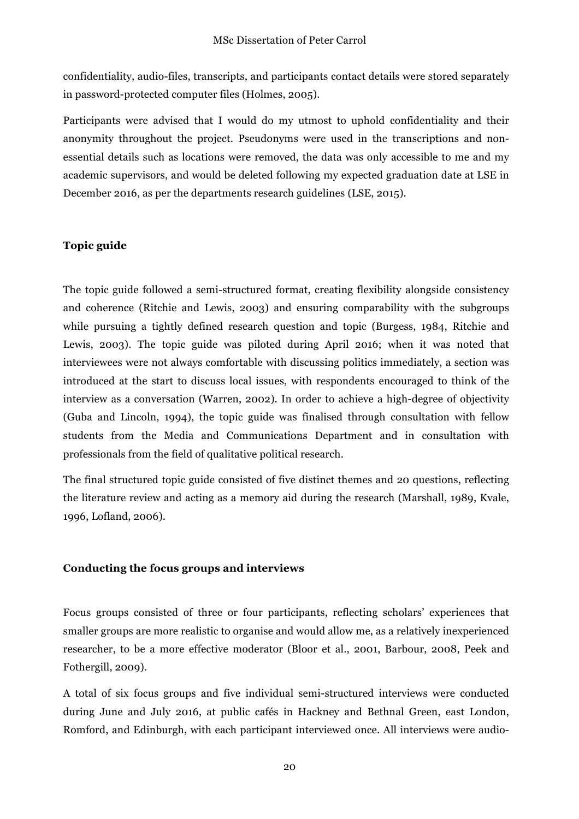confidentiality, audio-files, transcripts, and participants contact details were stored separately in password-protected computer files (Holmes, 2005).

Participants were advised that I would do my utmost to uphold confidentiality and their anonymity throughout the project. Pseudonyms were used in the transcriptions and nonessential details such as locations were removed, the data was only accessible to me and my academic supervisors, and would be deleted following my expected graduation date at LSE in December 2016, as per the departments research guidelines (LSE, 2015).

#### **Topic guide**

The topic guide followed a semi-structured format, creating flexibility alongside consistency and coherence (Ritchie and Lewis, 2003) and ensuring comparability with the subgroups while pursuing a tightly defined research question and topic (Burgess, 1984, Ritchie and Lewis, 2003). The topic guide was piloted during April 2016; when it was noted that interviewees were not always comfortable with discussing politics immediately, a section was introduced at the start to discuss local issues, with respondents encouraged to think of the interview as a conversation (Warren, 2002). In order to achieve a high-degree of objectivity (Guba and Lincoln, 1994), the topic guide was finalised through consultation with fellow students from the Media and Communications Department and in consultation with professionals from the field of qualitative political research.

The final structured topic guide consisted of five distinct themes and 20 questions, reflecting the literature review and acting as a memory aid during the research (Marshall, 1989, Kvale, 1996, Lofland, 2006).

#### **Conducting the focus groups and interviews**

Focus groups consisted of three or four participants, reflecting scholars' experiences that smaller groups are more realistic to organise and would allow me, as a relatively inexperienced researcher, to be a more effective moderator (Bloor et al., 2001, Barbour, 2008, Peek and Fothergill, 2009).

A total of six focus groups and five individual semi-structured interviews were conducted during June and July 2016, at public cafés in Hackney and Bethnal Green, east London, Romford, and Edinburgh, with each participant interviewed once. All interviews were audio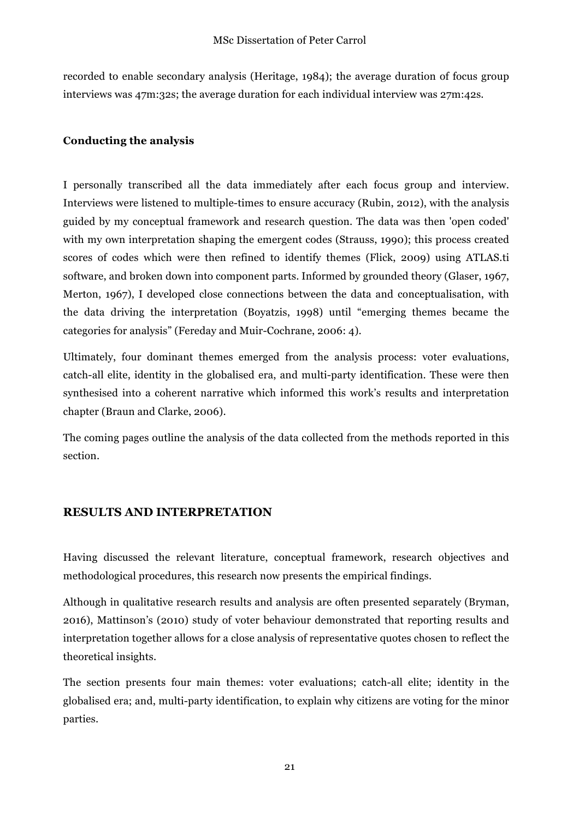recorded to enable secondary analysis (Heritage, 1984); the average duration of focus group interviews was 47m:32s; the average duration for each individual interview was 27m:42s.

## **Conducting the analysis**

I personally transcribed all the data immediately after each focus group and interview. Interviews were listened to multiple-times to ensure accuracy (Rubin, 2012), with the analysis guided by my conceptual framework and research question. The data was then 'open coded' with my own interpretation shaping the emergent codes (Strauss, 1990); this process created scores of codes which were then refined to identify themes (Flick, 2009) using ATLAS.ti software, and broken down into component parts. Informed by grounded theory (Glaser, 1967, Merton, 1967), I developed close connections between the data and conceptualisation, with the data driving the interpretation (Boyatzis, 1998) until "emerging themes became the categories for analysis" (Fereday and Muir-Cochrane, 2006: 4).

Ultimately, four dominant themes emerged from the analysis process: voter evaluations, catch-all elite, identity in the globalised era, and multi-party identification. These were then synthesised into a coherent narrative which informed this work's results and interpretation chapter (Braun and Clarke, 2006).

The coming pages outline the analysis of the data collected from the methods reported in this section.

## **RESULTS AND INTERPRETATION**

Having discussed the relevant literature, conceptual framework, research objectives and methodological procedures, this research now presents the empirical findings.

Although in qualitative research results and analysis are often presented separately (Bryman, 2016), Mattinson's (2010) study of voter behaviour demonstrated that reporting results and interpretation together allows for a close analysis of representative quotes chosen to reflect the theoretical insights.

The section presents four main themes: voter evaluations; catch-all elite; identity in the globalised era; and, multi-party identification, to explain why citizens are voting for the minor parties.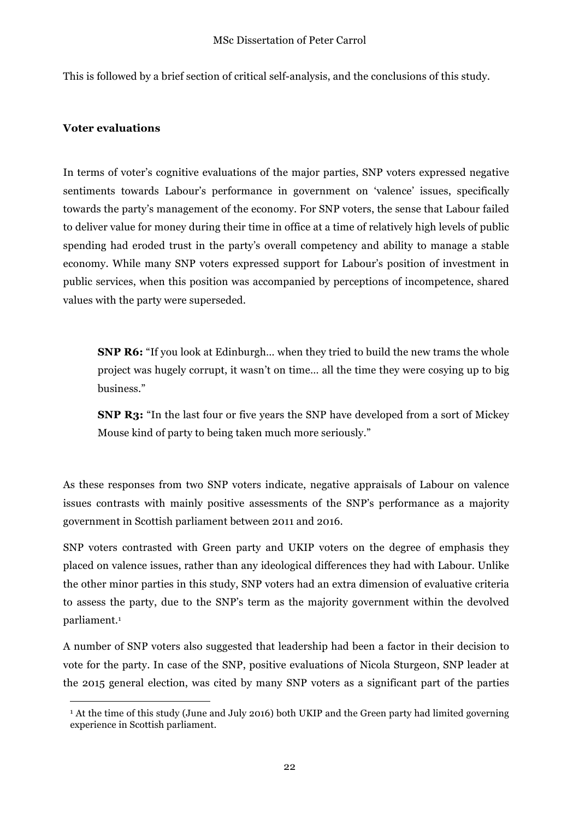This is followed by a brief section of critical self-analysis, and the conclusions of this study.

### **Voter evaluations**

In terms of voter's cognitive evaluations of the major parties, SNP voters expressed negative sentiments towards Labour's performance in government on 'valence' issues, specifically towards the party's management of the economy. For SNP voters, the sense that Labour failed to deliver value for money during their time in office at a time of relatively high levels of public spending had eroded trust in the party's overall competency and ability to manage a stable economy. While many SNP voters expressed support for Labour's position of investment in public services, when this position was accompanied by perceptions of incompetence, shared values with the party were superseded.

**SNP R6:** "If you look at Edinburgh… when they tried to build the new trams the whole project was hugely corrupt, it wasn't on time… all the time they were cosying up to big business."

**SNP R3:** "In the last four or five years the SNP have developed from a sort of Mickey Mouse kind of party to being taken much more seriously."

As these responses from two SNP voters indicate, negative appraisals of Labour on valence issues contrasts with mainly positive assessments of the SNP's performance as a majority government in Scottish parliament between 2011 and 2016.

SNP voters contrasted with Green party and UKIP voters on the degree of emphasis they placed on valence issues, rather than any ideological differences they had with Labour. Unlike the other minor parties in this study, SNP voters had an extra dimension of evaluative criteria to assess the party, due to the SNP's term as the majority government within the devolved parliament.<sup>1</sup>

A number of SNP voters also suggested that leadership had been a factor in their decision to vote for the party. In case of the SNP, positive evaluations of Nicola Sturgeon, SNP leader at the 2015 general election, was cited by many SNP voters as a significant part of the parties

<sup>&</sup>lt;sup>1</sup> At the time of this study (June and July 2016) both UKIP and the Green party had limited governing experience in Scottish parliament.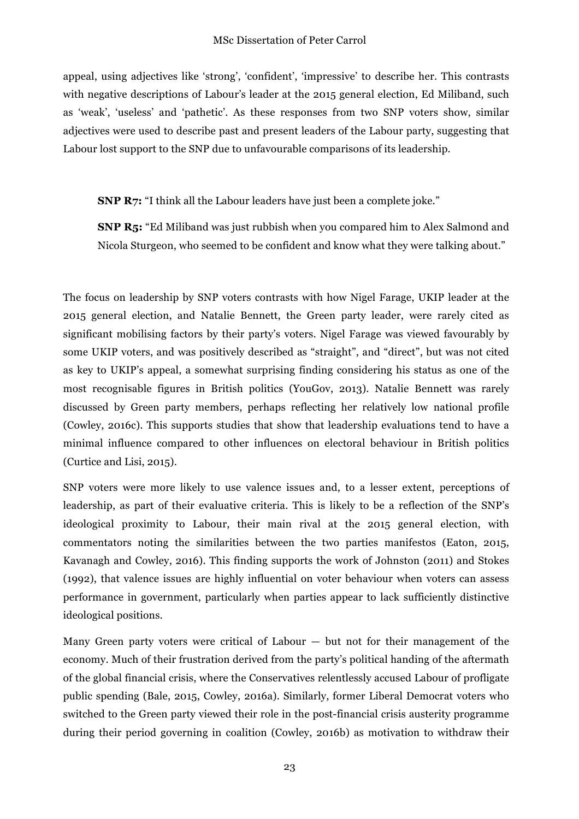appeal, using adjectives like 'strong', 'confident', 'impressive' to describe her. This contrasts with negative descriptions of Labour's leader at the 2015 general election, Ed Miliband, such as 'weak', 'useless' and 'pathetic'. As these responses from two SNP voters show, similar adjectives were used to describe past and present leaders of the Labour party, suggesting that Labour lost support to the SNP due to unfavourable comparisons of its leadership.

**SNP R7:** "I think all the Labour leaders have just been a complete joke."

**SNP R5:** "Ed Miliband was just rubbish when you compared him to Alex Salmond and Nicola Sturgeon, who seemed to be confident and know what they were talking about."

The focus on leadership by SNP voters contrasts with how Nigel Farage, UKIP leader at the 2015 general election, and Natalie Bennett, the Green party leader, were rarely cited as significant mobilising factors by their party's voters. Nigel Farage was viewed favourably by some UKIP voters, and was positively described as "straight", and "direct", but was not cited as key to UKIP's appeal, a somewhat surprising finding considering his status as one of the most recognisable figures in British politics (YouGov, 2013). Natalie Bennett was rarely discussed by Green party members, perhaps reflecting her relatively low national profile (Cowley, 2016c). This supports studies that show that leadership evaluations tend to have a minimal influence compared to other influences on electoral behaviour in British politics (Curtice and Lisi, 2015).

SNP voters were more likely to use valence issues and, to a lesser extent, perceptions of leadership, as part of their evaluative criteria. This is likely to be a reflection of the SNP's ideological proximity to Labour, their main rival at the 2015 general election, with commentators noting the similarities between the two parties manifestos (Eaton, 2015, Kavanagh and Cowley, 2016). This finding supports the work of Johnston (2011) and Stokes (1992), that valence issues are highly influential on voter behaviour when voters can assess performance in government, particularly when parties appear to lack sufficiently distinctive ideological positions.

Many Green party voters were critical of Labour — but not for their management of the economy. Much of their frustration derived from the party's political handing of the aftermath of the global financial crisis, where the Conservatives relentlessly accused Labour of profligate public spending (Bale, 2015, Cowley, 2016a). Similarly, former Liberal Democrat voters who switched to the Green party viewed their role in the post-financial crisis austerity programme during their period governing in coalition (Cowley, 2016b) as motivation to withdraw their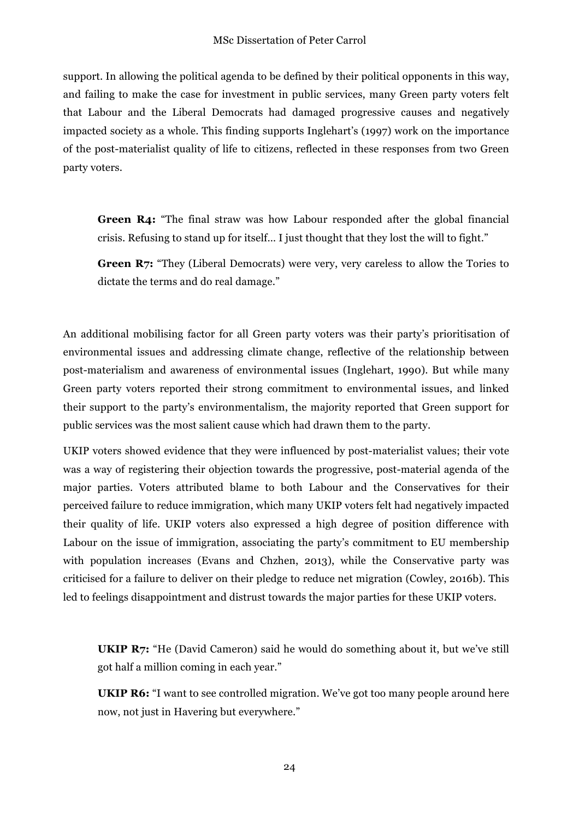support. In allowing the political agenda to be defined by their political opponents in this way, and failing to make the case for investment in public services, many Green party voters felt that Labour and the Liberal Democrats had damaged progressive causes and negatively impacted society as a whole. This finding supports Inglehart's (1997) work on the importance of the post-materialist quality of life to citizens, reflected in these responses from two Green party voters.

**Green R4:** "The final straw was how Labour responded after the global financial crisis. Refusing to stand up for itself… I just thought that they lost the will to fight."

**Green R7:** "They (Liberal Democrats) were very, very careless to allow the Tories to dictate the terms and do real damage."

An additional mobilising factor for all Green party voters was their party's prioritisation of environmental issues and addressing climate change, reflective of the relationship between post-materialism and awareness of environmental issues (Inglehart, 1990). But while many Green party voters reported their strong commitment to environmental issues, and linked their support to the party's environmentalism, the majority reported that Green support for public services was the most salient cause which had drawn them to the party.

UKIP voters showed evidence that they were influenced by post-materialist values; their vote was a way of registering their objection towards the progressive, post-material agenda of the major parties. Voters attributed blame to both Labour and the Conservatives for their perceived failure to reduce immigration, which many UKIP voters felt had negatively impacted their quality of life. UKIP voters also expressed a high degree of position difference with Labour on the issue of immigration, associating the party's commitment to EU membership with population increases (Evans and Chzhen, 2013), while the Conservative party was criticised for a failure to deliver on their pledge to reduce net migration (Cowley, 2016b). This led to feelings disappointment and distrust towards the major parties for these UKIP voters.

**UKIP R7:** "He (David Cameron) said he would do something about it, but we've still got half a million coming in each year."

**UKIP R6:** "I want to see controlled migration. We've got too many people around here now, not just in Havering but everywhere."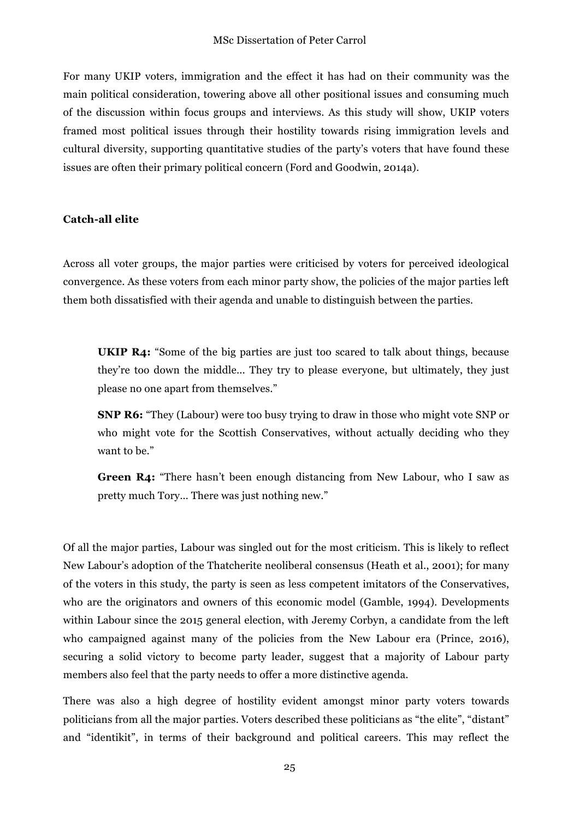For many UKIP voters, immigration and the effect it has had on their community was the main political consideration, towering above all other positional issues and consuming much of the discussion within focus groups and interviews. As this study will show, UKIP voters framed most political issues through their hostility towards rising immigration levels and cultural diversity, supporting quantitative studies of the party's voters that have found these issues are often their primary political concern (Ford and Goodwin, 2014a).

#### **Catch-all elite**

Across all voter groups, the major parties were criticised by voters for perceived ideological convergence. As these voters from each minor party show, the policies of the major parties left them both dissatisfied with their agenda and unable to distinguish between the parties.

**UKIP R4:** "Some of the big parties are just too scared to talk about things, because they're too down the middle... They try to please everyone, but ultimately, they just please no one apart from themselves."

**SNP R6:** "They (Labour) were too busy trying to draw in those who might vote SNP or who might vote for the Scottish Conservatives, without actually deciding who they want to be."

**Green R4:** "There hasn't been enough distancing from New Labour, who I saw as pretty much Tory… There was just nothing new."

Of all the major parties, Labour was singled out for the most criticism. This is likely to reflect New Labour's adoption of the Thatcherite neoliberal consensus (Heath et al., 2001); for many of the voters in this study, the party is seen as less competent imitators of the Conservatives, who are the originators and owners of this economic model (Gamble, 1994). Developments within Labour since the 2015 general election, with Jeremy Corbyn, a candidate from the left who campaigned against many of the policies from the New Labour era (Prince, 2016), securing a solid victory to become party leader, suggest that a majority of Labour party members also feel that the party needs to offer a more distinctive agenda.

There was also a high degree of hostility evident amongst minor party voters towards politicians from all the major parties. Voters described these politicians as "the elite", "distant" and "identikit", in terms of their background and political careers. This may reflect the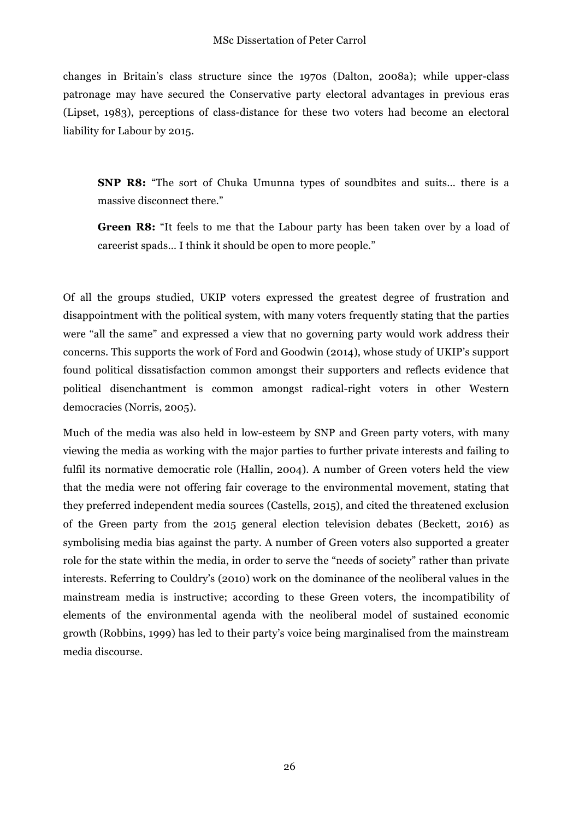changes in Britain's class structure since the 1970s (Dalton, 2008a); while upper-class patronage may have secured the Conservative party electoral advantages in previous eras (Lipset, 1983), perceptions of class-distance for these two voters had become an electoral liability for Labour by 2015.

**SNP R8:** "The sort of Chuka Umunna types of soundbites and suits… there is a massive disconnect there."

**Green R8:** "It feels to me that the Labour party has been taken over by a load of careerist spads… I think it should be open to more people."

Of all the groups studied, UKIP voters expressed the greatest degree of frustration and disappointment with the political system, with many voters frequently stating that the parties were "all the same" and expressed a view that no governing party would work address their concerns. This supports the work of Ford and Goodwin (2014), whose study of UKIP's support found political dissatisfaction common amongst their supporters and reflects evidence that political disenchantment is common amongst radical-right voters in other Western democracies (Norris, 2005).

Much of the media was also held in low-esteem by SNP and Green party voters, with many viewing the media as working with the major parties to further private interests and failing to fulfil its normative democratic role (Hallin, 2004). A number of Green voters held the view that the media were not offering fair coverage to the environmental movement, stating that they preferred independent media sources (Castells, 2015), and cited the threatened exclusion of the Green party from the 2015 general election television debates (Beckett, 2016) as symbolising media bias against the party. A number of Green voters also supported a greater role for the state within the media, in order to serve the "needs of society" rather than private interests. Referring to Couldry's (2010) work on the dominance of the neoliberal values in the mainstream media is instructive; according to these Green voters, the incompatibility of elements of the environmental agenda with the neoliberal model of sustained economic growth (Robbins, 1999) has led to their party's voice being marginalised from the mainstream media discourse.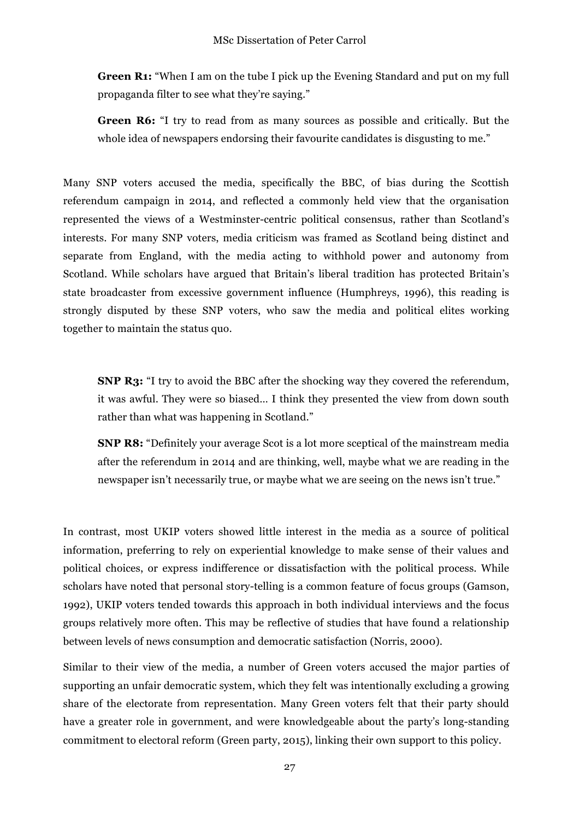**Green R1:** "When I am on the tube I pick up the Evening Standard and put on my full propaganda filter to see what they're saying."

**Green R6:** "I try to read from as many sources as possible and critically. But the whole idea of newspapers endorsing their favourite candidates is disgusting to me."

Many SNP voters accused the media, specifically the BBC, of bias during the Scottish referendum campaign in 2014, and reflected a commonly held view that the organisation represented the views of a Westminster-centric political consensus, rather than Scotland's interests. For many SNP voters, media criticism was framed as Scotland being distinct and separate from England, with the media acting to withhold power and autonomy from Scotland. While scholars have argued that Britain's liberal tradition has protected Britain's state broadcaster from excessive government influence (Humphreys, 1996), this reading is strongly disputed by these SNP voters, who saw the media and political elites working together to maintain the status quo.

**SNP R3:** "I try to avoid the BBC after the shocking way they covered the referendum, it was awful. They were so biased… I think they presented the view from down south rather than what was happening in Scotland."

**SNP R8:** "Definitely your average Scot is a lot more sceptical of the mainstream media after the referendum in 2014 and are thinking, well, maybe what we are reading in the newspaper isn't necessarily true, or maybe what we are seeing on the news isn't true."

In contrast, most UKIP voters showed little interest in the media as a source of political information, preferring to rely on experiential knowledge to make sense of their values and political choices, or express indifference or dissatisfaction with the political process. While scholars have noted that personal story-telling is a common feature of focus groups (Gamson, 1992), UKIP voters tended towards this approach in both individual interviews and the focus groups relatively more often. This may be reflective of studies that have found a relationship between levels of news consumption and democratic satisfaction (Norris, 2000).

Similar to their view of the media, a number of Green voters accused the major parties of supporting an unfair democratic system, which they felt was intentionally excluding a growing share of the electorate from representation. Many Green voters felt that their party should have a greater role in government, and were knowledgeable about the party's long-standing commitment to electoral reform (Green party, 2015), linking their own support to this policy.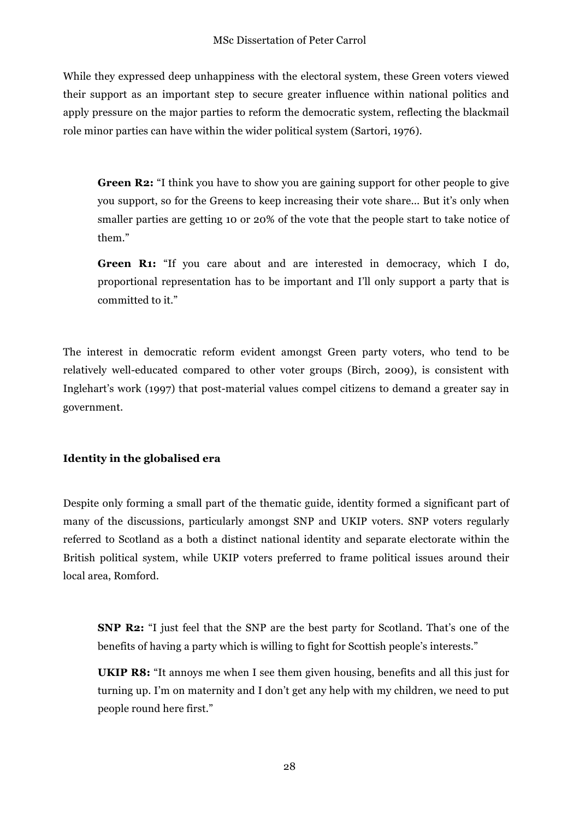While they expressed deep unhappiness with the electoral system, these Green voters viewed their support as an important step to secure greater influence within national politics and apply pressure on the major parties to reform the democratic system, reflecting the blackmail role minor parties can have within the wider political system (Sartori, 1976).

**Green R2:** "I think you have to show you are gaining support for other people to give you support, so for the Greens to keep increasing their vote share... But it's only when smaller parties are getting 10 or 20% of the vote that the people start to take notice of them."

**Green R1:** "If you care about and are interested in democracy, which I do, proportional representation has to be important and I'll only support a party that is committed to it."

The interest in democratic reform evident amongst Green party voters, who tend to be relatively well-educated compared to other voter groups (Birch, 2009), is consistent with Inglehart's work (1997) that post-material values compel citizens to demand a greater say in government.

## **Identity in the globalised era**

Despite only forming a small part of the thematic guide, identity formed a significant part of many of the discussions, particularly amongst SNP and UKIP voters. SNP voters regularly referred to Scotland as a both a distinct national identity and separate electorate within the British political system, while UKIP voters preferred to frame political issues around their local area, Romford.

**SNP R2:** "I just feel that the SNP are the best party for Scotland. That's one of the benefits of having a party which is willing to fight for Scottish people's interests."

**UKIP R8:** "It annoys me when I see them given housing, benefits and all this just for turning up. I'm on maternity and I don't get any help with my children, we need to put people round here first."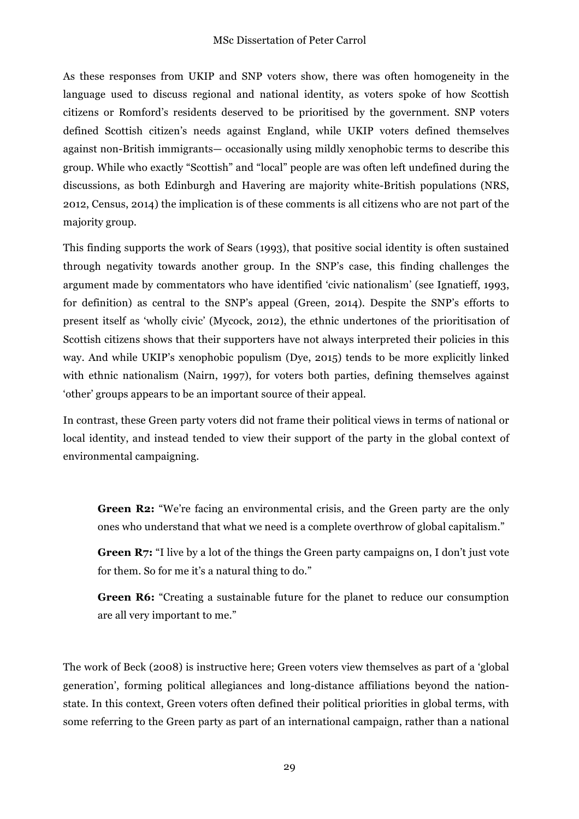As these responses from UKIP and SNP voters show, there was often homogeneity in the language used to discuss regional and national identity, as voters spoke of how Scottish citizens or Romford's residents deserved to be prioritised by the government. SNP voters defined Scottish citizen's needs against England, while UKIP voters defined themselves against non-British immigrants— occasionally using mildly xenophobic terms to describe this group. While who exactly "Scottish" and "local" people are was often left undefined during the discussions, as both Edinburgh and Havering are majority white-British populations (NRS, 2012, Census, 2014) the implication is of these comments is all citizens who are not part of the majority group.

This finding supports the work of Sears (1993), that positive social identity is often sustained through negativity towards another group. In the SNP's case, this finding challenges the argument made by commentators who have identified 'civic nationalism' (see Ignatieff, 1993, for definition) as central to the SNP's appeal (Green, 2014). Despite the SNP's efforts to present itself as 'wholly civic' (Mycock, 2012), the ethnic undertones of the prioritisation of Scottish citizens shows that their supporters have not always interpreted their policies in this way. And while UKIP's xenophobic populism (Dye, 2015) tends to be more explicitly linked with ethnic nationalism (Nairn, 1997), for voters both parties, defining themselves against 'other' groups appears to be an important source of their appeal.

In contrast, these Green party voters did not frame their political views in terms of national or local identity, and instead tended to view their support of the party in the global context of environmental campaigning.

**Green R2:** "We're facing an environmental crisis, and the Green party are the only ones who understand that what we need is a complete overthrow of global capitalism."

**Green R7:** "I live by a lot of the things the Green party campaigns on, I don't just vote for them. So for me it's a natural thing to do."

**Green R6:** "Creating a sustainable future for the planet to reduce our consumption are all very important to me."

The work of Beck (2008) is instructive here; Green voters view themselves as part of a 'global generation', forming political allegiances and long-distance affiliations beyond the nationstate. In this context, Green voters often defined their political priorities in global terms, with some referring to the Green party as part of an international campaign, rather than a national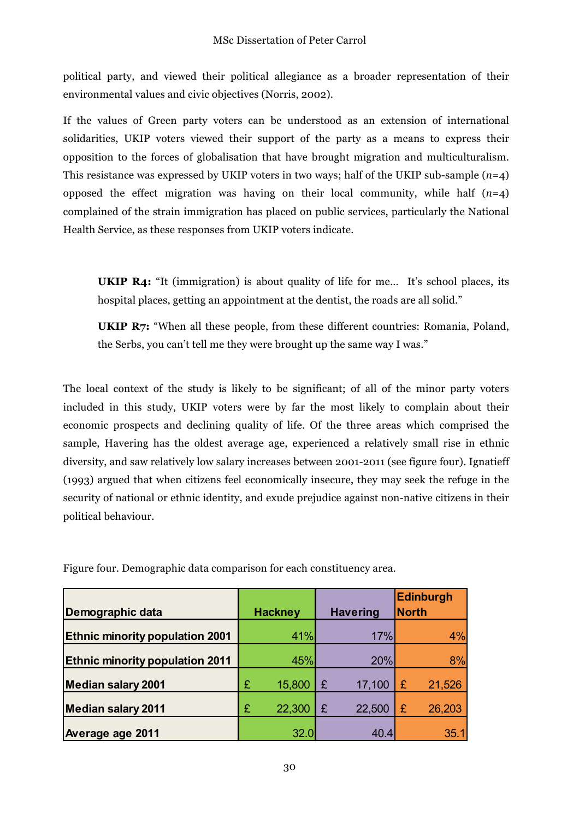political party, and viewed their political allegiance as a broader representation of their environmental values and civic objectives (Norris, 2002).

If the values of Green party voters can be understood as an extension of international solidarities, UKIP voters viewed their support of the party as a means to express their opposition to the forces of globalisation that have brought migration and multiculturalism. This resistance was expressed by UKIP voters in two ways; half of the UKIP sub-sample (*n*=4) opposed the effect migration was having on their local community, while half (*n*=4) complained of the strain immigration has placed on public services, particularly the National Health Service, as these responses from UKIP voters indicate.

**UKIP R4:** "It (immigration) is about quality of life for me... It's school places, its hospital places, getting an appointment at the dentist, the roads are all solid."

**UKIP R7:** "When all these people, from these different countries: Romania, Poland, the Serbs, you can't tell me they were brought up the same way I was."

The local context of the study is likely to be significant; of all of the minor party voters included in this study, UKIP voters were by far the most likely to complain about their economic prospects and declining quality of life. Of the three areas which comprised the sample, Havering has the oldest average age, experienced a relatively small rise in ethnic diversity, and saw relatively low salary increases between 2001-2011 (see figure four). Ignatieff (1993) argued that when citizens feel economically insecure, they may seek the refuge in the security of national or ethnic identity, and exude prejudice against non-native citizens in their political behaviour.

| <b>Demographic data</b>                |   | <b>Hackney</b> |   | <b>Havering</b> |   | Edinburgh<br><b>North</b> |
|----------------------------------------|---|----------------|---|-----------------|---|---------------------------|
| <b>Ethnic minority population 2001</b> |   | 41%            |   | 17%             |   | 4%                        |
| <b>Ethnic minority population 2011</b> |   | 45%            |   | 20%             |   | 8%                        |
| <b>Median salary 2001</b>              | £ | 15,800         | £ | 17,100          | £ | 21,526                    |
| <b>Median salary 2011</b>              | £ | 22,300         | £ | 22,500          | £ | 26,203                    |
| Average age 2011                       |   | 32.0           |   | 40.4            |   | 35.1                      |

Figure four. Demographic data comparison for each constituency area.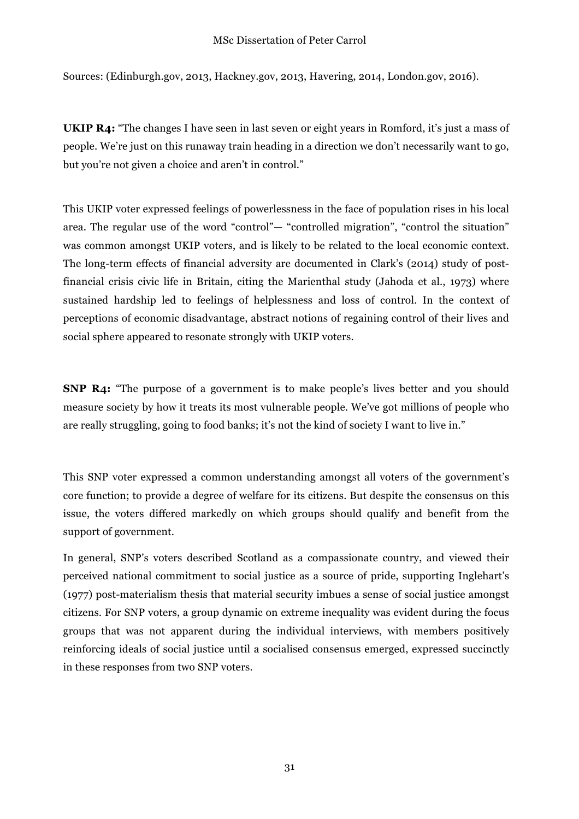#### MSc Dissertation of Peter Carrol

Sources: (Edinburgh.gov, 2013, Hackney.gov, 2013, Havering, 2014, London.gov, 2016).

**UKIP R4:** "The changes I have seen in last seven or eight years in Romford, it's just a mass of people. We're just on this runaway train heading in a direction we don't necessarily want to go, but you're not given a choice and aren't in control."

This UKIP voter expressed feelings of powerlessness in the face of population rises in his local area. The regular use of the word "control"— "controlled migration", "control the situation" was common amongst UKIP voters, and is likely to be related to the local economic context. The long-term effects of financial adversity are documented in Clark's (2014) study of postfinancial crisis civic life in Britain, citing the Marienthal study (Jahoda et al., 1973) where sustained hardship led to feelings of helplessness and loss of control. In the context of perceptions of economic disadvantage, abstract notions of regaining control of their lives and social sphere appeared to resonate strongly with UKIP voters.

**SNP R4:** "The purpose of a government is to make people's lives better and you should measure society by how it treats its most vulnerable people. We've got millions of people who are really struggling, going to food banks; it's not the kind of society I want to live in."

This SNP voter expressed a common understanding amongst all voters of the government's core function; to provide a degree of welfare for its citizens. But despite the consensus on this issue, the voters differed markedly on which groups should qualify and benefit from the support of government.

In general, SNP's voters described Scotland as a compassionate country, and viewed their perceived national commitment to social justice as a source of pride, supporting Inglehart's (1977) post-materialism thesis that material security imbues a sense of social justice amongst citizens. For SNP voters, a group dynamic on extreme inequality was evident during the focus groups that was not apparent during the individual interviews, with members positively reinforcing ideals of social justice until a socialised consensus emerged, expressed succinctly in these responses from two SNP voters.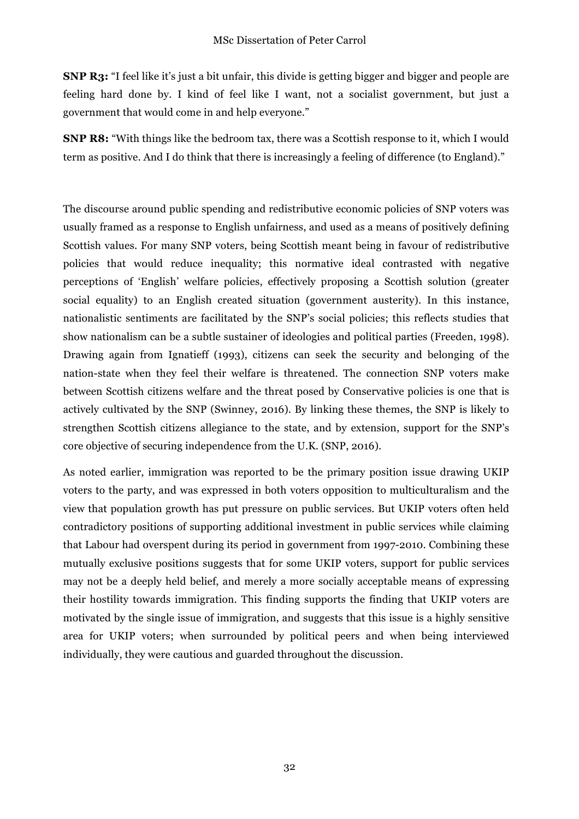**SNP R3:** "I feel like it's just a bit unfair, this divide is getting bigger and bigger and people are feeling hard done by. I kind of feel like I want, not a socialist government, but just a government that would come in and help everyone."

**SNP R8:** "With things like the bedroom tax, there was a Scottish response to it, which I would term as positive. And I do think that there is increasingly a feeling of difference (to England)."

The discourse around public spending and redistributive economic policies of SNP voters was usually framed as a response to English unfairness, and used as a means of positively defining Scottish values. For many SNP voters, being Scottish meant being in favour of redistributive policies that would reduce inequality; this normative ideal contrasted with negative perceptions of 'English' welfare policies, effectively proposing a Scottish solution (greater social equality) to an English created situation (government austerity). In this instance, nationalistic sentiments are facilitated by the SNP's social policies; this reflects studies that show nationalism can be a subtle sustainer of ideologies and political parties (Freeden, 1998). Drawing again from Ignatieff (1993), citizens can seek the security and belonging of the nation-state when they feel their welfare is threatened. The connection SNP voters make between Scottish citizens welfare and the threat posed by Conservative policies is one that is actively cultivated by the SNP (Swinney, 2016). By linking these themes, the SNP is likely to strengthen Scottish citizens allegiance to the state, and by extension, support for the SNP's core objective of securing independence from the U.K. (SNP, 2016).

As noted earlier, immigration was reported to be the primary position issue drawing UKIP voters to the party, and was expressed in both voters opposition to multiculturalism and the view that population growth has put pressure on public services. But UKIP voters often held contradictory positions of supporting additional investment in public services while claiming that Labour had overspent during its period in government from 1997-2010. Combining these mutually exclusive positions suggests that for some UKIP voters, support for public services may not be a deeply held belief, and merely a more socially acceptable means of expressing their hostility towards immigration. This finding supports the finding that UKIP voters are motivated by the single issue of immigration, and suggests that this issue is a highly sensitive area for UKIP voters; when surrounded by political peers and when being interviewed individually, they were cautious and guarded throughout the discussion.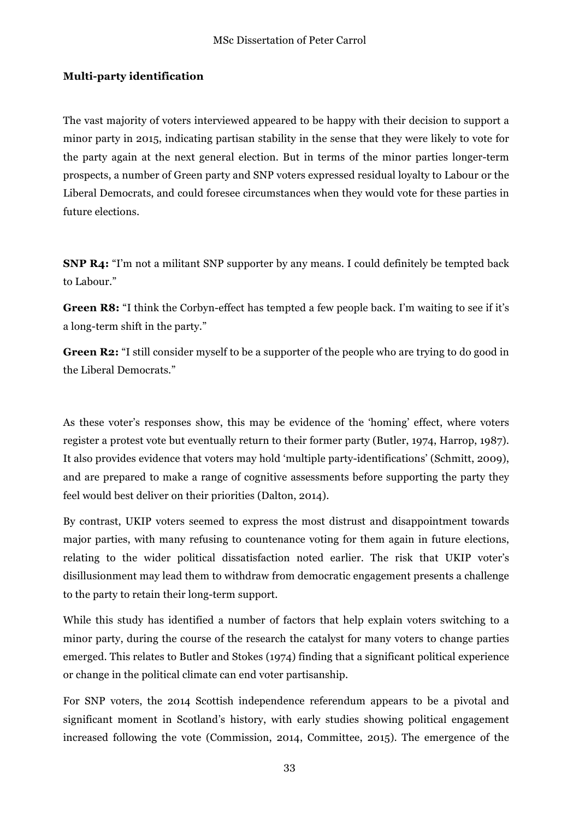## **Multi-party identification**

The vast majority of voters interviewed appeared to be happy with their decision to support a minor party in 2015, indicating partisan stability in the sense that they were likely to vote for the party again at the next general election. But in terms of the minor parties longer-term prospects, a number of Green party and SNP voters expressed residual loyalty to Labour or the Liberal Democrats, and could foresee circumstances when they would vote for these parties in future elections.

**SNP R4:** "I'm not a militant SNP supporter by any means. I could definitely be tempted back to Labour."

**Green R8:** "I think the Corbyn-effect has tempted a few people back. I'm waiting to see if it's a long-term shift in the party."

**Green R2:** "I still consider myself to be a supporter of the people who are trying to do good in the Liberal Democrats."

As these voter's responses show, this may be evidence of the 'homing' effect, where voters register a protest vote but eventually return to their former party (Butler, 1974, Harrop, 1987). It also provides evidence that voters may hold 'multiple party-identifications' (Schmitt, 2009), and are prepared to make a range of cognitive assessments before supporting the party they feel would best deliver on their priorities (Dalton, 2014).

By contrast, UKIP voters seemed to express the most distrust and disappointment towards major parties, with many refusing to countenance voting for them again in future elections, relating to the wider political dissatisfaction noted earlier. The risk that UKIP voter's disillusionment may lead them to withdraw from democratic engagement presents a challenge to the party to retain their long-term support.

While this study has identified a number of factors that help explain voters switching to a minor party, during the course of the research the catalyst for many voters to change parties emerged. This relates to Butler and Stokes (1974) finding that a significant political experience or change in the political climate can end voter partisanship.

For SNP voters, the 2014 Scottish independence referendum appears to be a pivotal and significant moment in Scotland's history, with early studies showing political engagement increased following the vote (Commission, 2014, Committee, 2015). The emergence of the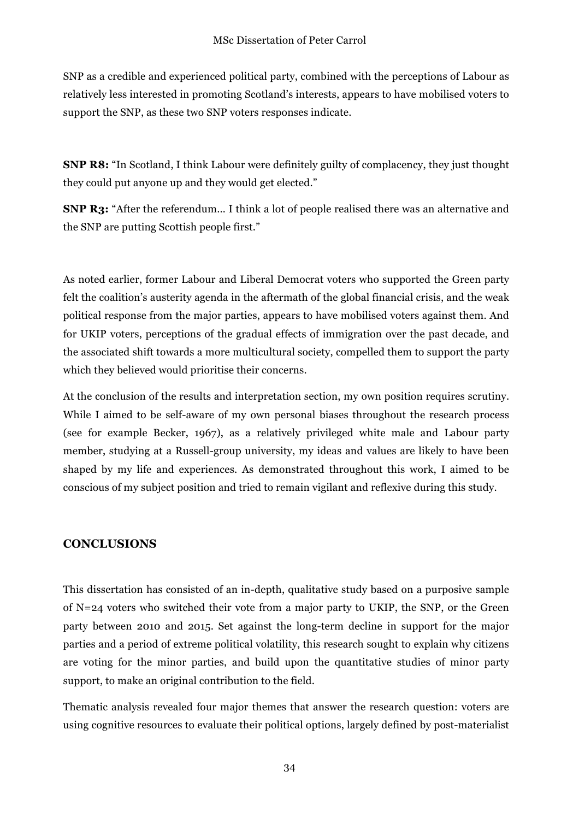SNP as a credible and experienced political party, combined with the perceptions of Labour as relatively less interested in promoting Scotland's interests, appears to have mobilised voters to support the SNP, as these two SNP voters responses indicate.

**SNP R8:** "In Scotland, I think Labour were definitely guilty of complacency, they just thought they could put anyone up and they would get elected."

**SNP R3:** "After the referendum... I think a lot of people realised there was an alternative and the SNP are putting Scottish people first."

As noted earlier, former Labour and Liberal Democrat voters who supported the Green party felt the coalition's austerity agenda in the aftermath of the global financial crisis, and the weak political response from the major parties, appears to have mobilised voters against them. And for UKIP voters, perceptions of the gradual effects of immigration over the past decade, and the associated shift towards a more multicultural society, compelled them to support the party which they believed would prioritise their concerns.

At the conclusion of the results and interpretation section, my own position requires scrutiny. While I aimed to be self-aware of my own personal biases throughout the research process (see for example Becker, 1967), as a relatively privileged white male and Labour party member, studying at a Russell-group university, my ideas and values are likely to have been shaped by my life and experiences. As demonstrated throughout this work, I aimed to be conscious of my subject position and tried to remain vigilant and reflexive during this study.

## **CONCLUSIONS**

This dissertation has consisted of an in-depth, qualitative study based on a purposive sample of N=24 voters who switched their vote from a major party to UKIP, the SNP, or the Green party between 2010 and 2015. Set against the long-term decline in support for the major parties and a period of extreme political volatility, this research sought to explain why citizens are voting for the minor parties, and build upon the quantitative studies of minor party support, to make an original contribution to the field.

Thematic analysis revealed four major themes that answer the research question: voters are using cognitive resources to evaluate their political options, largely defined by post-materialist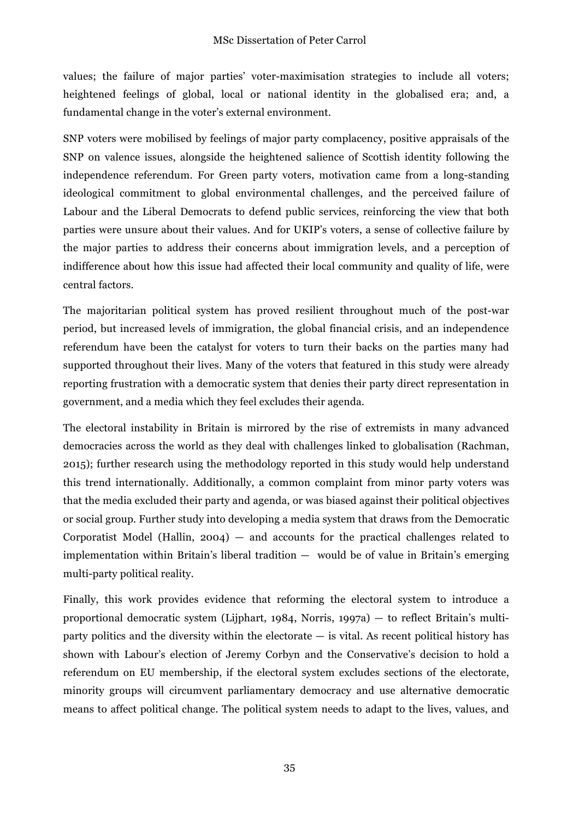values; the failure of major parties' voter-maximisation strategies to include all voters; heightened feelings of global, local or national identity in the globalised era; and, a fundamental change in the voter's external environment.

SNP voters were mobilised by feelings of major party complacency, positive appraisals of the SNP on valence issues, alongside the heightened salience of Scottish identity following the independence referendum. For Green party voters, motivation came from a long-standing ideological commitment to global environmental challenges, and the perceived failure of Labour and the Liberal Democrats to defend public services, reinforcing the view that both parties were unsure about their values. And for UKIP's voters, a sense of collective failure by the major parties to address their concerns about immigration levels, and a perception of indifference about how this issue had affected their local community and quality of life, were central factors.

The majoritarian political system has proved resilient throughout much of the post-war period, but increased levels of immigration, the global financial crisis, and an independence referendum have been the catalyst for voters to turn their backs on the parties many had supported throughout their lives. Many of the voters that featured in this study were already reporting frustration with a democratic system that denies their party direct representation in government, and a media which they feel excludes their agenda.

The electoral instability in Britain is mirrored by the rise of extremists in many advanced democracies across the world as they deal with challenges linked to globalisation (Rachman, 2015); further research using the methodology reported in this study would help understand this trend internationally. Additionally, a common complaint from minor party voters was that the media excluded their party and agenda, or was biased against their political objectives or social group*.* Further study into developing a media system that draws from the Democratic Corporatist Model (Hallin,  $2004$ ) — and accounts for the practical challenges related to implementation within Britain's liberal tradition — would be of value in Britain's emerging multi-party political reality.

Finally, this work provides evidence that reforming the electoral system to introduce a proportional democratic system (Lijphart, 1984, Norris, 1997a) — to reflect Britain's multiparty politics and the diversity within the electorate  $-$  is vital. As recent political history has shown with Labour's election of Jeremy Corbyn and the Conservative's decision to hold a referendum on EU membership, if the electoral system excludes sections of the electorate, minority groups will circumvent parliamentary democracy and use alternative democratic means to affect political change. The political system needs to adapt to the lives, values, and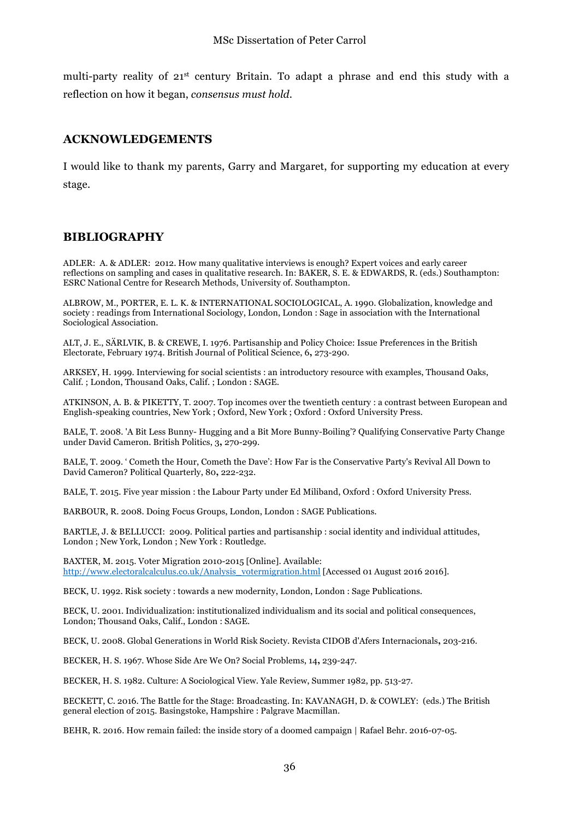multi-party reality of 21st century Britain. To adapt a phrase and end this study with a reflection on how it began, *consensus must hold*.

## **ACKNOWLEDGEMENTS**

I would like to thank my parents, Garry and Margaret, for supporting my education at every stage.

#### **BIBLIOGRAPHY**

ADLER: A. & ADLER: 2012. How many qualitative interviews is enough? Expert voices and early career reflections on sampling and cases in qualitative research. In: BAKER, S. E. & EDWARDS, R. (eds.) Southampton: ESRC National Centre for Research Methods, University of. Southampton.

ALBROW, M., PORTER, E. L. K. & INTERNATIONAL SOCIOLOGICAL, A. 1990. Globalization, knowledge and society : readings from International Sociology, London, London : Sage in association with the International Sociological Association.

ALT, J. E., SÄRLVIK, B. & CREWE, I. 1976. Partisanship and Policy Choice: Issue Preferences in the British Electorate, February 1974. British Journal of Political Science, 6**,** 273-290.

ARKSEY, H. 1999. Interviewing for social scientists : an introductory resource with examples, Thousand Oaks, Calif. ; London, Thousand Oaks, Calif. ; London : SAGE.

ATKINSON, A. B. & PIKETTY, T. 2007. Top incomes over the twentieth century : a contrast between European and English-speaking countries, New York ; Oxford, New York ; Oxford : Oxford University Press.

BALE, T. 2008. 'A Bit Less Bunny- Hugging and a Bit More Bunny-Boiling'? Qualifying Conservative Party Change under David Cameron. British Politics, 3**,** 270-299.

BALE, T. 2009. ' Cometh the Hour, Cometh the Dave': How Far is the Conservative Party's Revival All Down to David Cameron? Political Quarterly, 80**,** 222-232.

BALE, T. 2015. Five year mission : the Labour Party under Ed Miliband, Oxford : Oxford University Press.

BARBOUR, R. 2008. Doing Focus Groups, London, London : SAGE Publications.

BARTLE, J. & BELLUCCI: 2009. Political parties and partisanship : social identity and individual attitudes, London ; New York, London ; New York : Routledge.

BAXTER, M. 2015. Voter Migration 2010-2015 [Online]. Available: http://www.electoralcalculus.co.uk/Analysis\_votermigration.html [Accessed 01 August 2016 2016].

BECK, U. 1992. Risk society : towards a new modernity, London, London : Sage Publications.

BECK, U. 2001. Individualization: institutionalized individualism and its social and political consequences, London; Thousand Oaks, Calif., London : SAGE.

BECK, U. 2008. Global Generations in World Risk Society. Revista CIDOB d'Afers Internacionals**,** 203-216.

BECKER, H. S. 1967. Whose Side Are We On? Social Problems, 14**,** 239-247.

BECKER, H. S. 1982. Culture: A Sociological View. Yale Review, Summer 1982, pp. 513-27.

BECKETT, C. 2016. The Battle for the Stage: Broadcasting. In: KAVANAGH, D. & COWLEY: (eds.) The British general election of 2015. Basingstoke, Hampshire : Palgrave Macmillan.

BEHR, R. 2016. How remain failed: the inside story of a doomed campaign | Rafael Behr. 2016-07-05.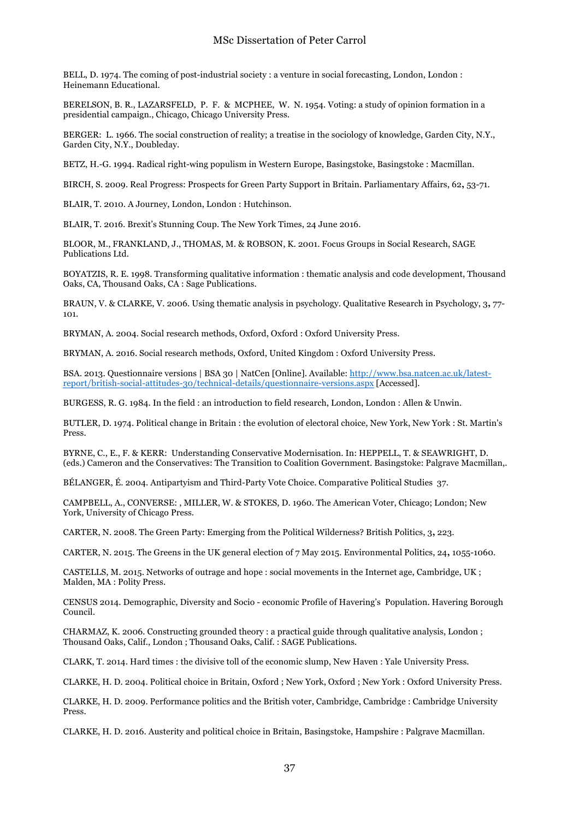BELL, D. 1974. The coming of post-industrial society : a venture in social forecasting, London, London : Heinemann Educational.

BERELSON, B. R., LAZARSFELD, P. F. & MCPHEE, W. N. 1954. Voting: a study of opinion formation in a presidential campaign., Chicago, Chicago University Press.

BERGER: L. 1966. The social construction of reality; a treatise in the sociology of knowledge, Garden City, N.Y., Garden City, N.Y., Doubleday.

BETZ, H.-G. 1994. Radical right-wing populism in Western Europe, Basingstoke, Basingstoke : Macmillan.

BIRCH, S. 2009. Real Progress: Prospects for Green Party Support in Britain. Parliamentary Affairs, 62**,** 53-71.

BLAIR, T. 2010. A Journey, London, London : Hutchinson.

BLAIR, T. 2016. Brexit's Stunning Coup. The New York Times, 24 June 2016.

BLOOR, M., FRANKLAND, J., THOMAS, M. & ROBSON, K. 2001. Focus Groups in Social Research, SAGE Publications Ltd.

BOYATZIS, R. E. 1998. Transforming qualitative information : thematic analysis and code development, Thousand Oaks, CA, Thousand Oaks, CA : Sage Publications.

BRAUN, V. & CLARKE, V. 2006. Using thematic analysis in psychology. Qualitative Research in Psychology, 3**,** 77- 101.

BRYMAN, A. 2004. Social research methods, Oxford, Oxford : Oxford University Press.

BRYMAN, A. 2016. Social research methods, Oxford, United Kingdom : Oxford University Press.

BSA. 2013. Questionnaire versions | BSA 30 | NatCen [Online]. Available: http://www.bsa.natcen.ac.uk/latestreport/british-social-attitudes-30/technical-details/questionnaire-versions.aspx [Accessed].

BURGESS, R. G. 1984. In the field : an introduction to field research, London, London : Allen & Unwin.

BUTLER, D. 1974. Political change in Britain : the evolution of electoral choice, New York, New York : St. Martin's Press.

BYRNE, C., E., F. & KERR: Understanding Conservative Modernisation. In: HEPPELL, T. & SEAWRIGHT, D. (eds.) Cameron and the Conservatives: The Transition to Coalition Government. Basingstoke: Palgrave Macmillan,.

BÉLANGER, É. 2004. Antipartyism and Third-Party Vote Choice. Comparative Political Studies 37.

CAMPBELL, A., CONVERSE: , MILLER, W. & STOKES, D. 1960. The American Voter, Chicago; London; New York, University of Chicago Press.

CARTER, N. 2008. The Green Party: Emerging from the Political Wilderness? British Politics, 3**,** 223.

CARTER, N. 2015. The Greens in the UK general election of 7 May 2015. Environmental Politics, 24**,** 1055-1060.

CASTELLS, M. 2015. Networks of outrage and hope : social movements in the Internet age, Cambridge, UK ; Malden, MA : Polity Press.

CENSUS 2014. Demographic, Diversity and Socio - economic Profile of Havering's Population. Havering Borough Council.

CHARMAZ, K. 2006. Constructing grounded theory : a practical guide through qualitative analysis, London ; Thousand Oaks, Calif., London ; Thousand Oaks, Calif. : SAGE Publications.

CLARK, T. 2014. Hard times : the divisive toll of the economic slump, New Haven : Yale University Press.

CLARKE, H. D. 2004. Political choice in Britain, Oxford ; New York, Oxford ; New York : Oxford University Press.

CLARKE, H. D. 2009. Performance politics and the British voter, Cambridge, Cambridge : Cambridge University Press.

CLARKE, H. D. 2016. Austerity and political choice in Britain, Basingstoke, Hampshire : Palgrave Macmillan.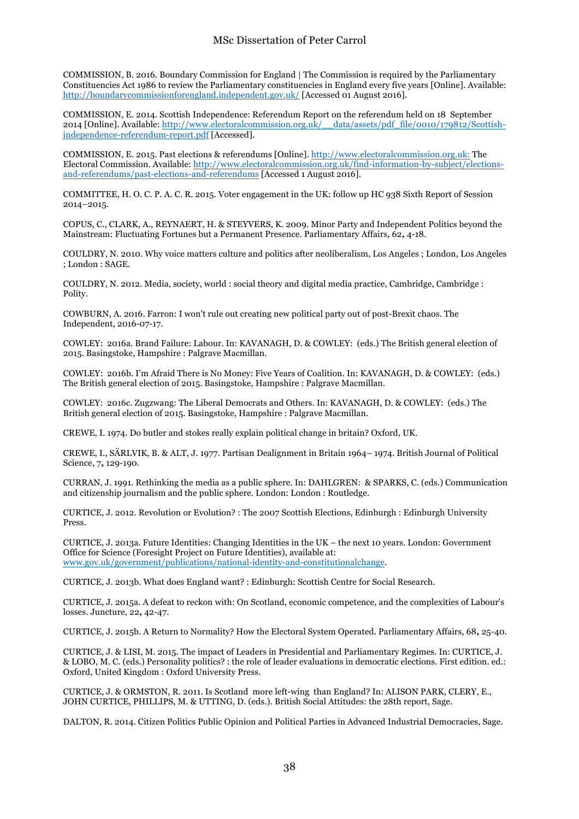COMMISSION, B. 2016. Boundary Commission for England | The Commission is required by the Parliamentary Constituencies Act 1986 to review the Parliamentary constituencies in England every five years [Online]. Available: http://boundarycommissionforengland.independent.gov.uk/ [Accessed 01 August 2016].

COMMISSION, E. 2014. Scottish Independence: Referendum Report on the referendum held on 18 September 2014 [Online]. Available: http://www.electoralcommission.org.uk/\_\_data/assets/pdf\_file/0010/179812/Scottishindependence-referendum-report.pdf [Accessed].

COMMISSION, E. 2015. Past elections & referendums [Online]. http://www.electoralcommission.org.uk: The Electoral Commission. Available: http://www.electoralcommission.org.uk/find-information-by-subject/electionsand-referendums/past-elections-and-referendums [Accessed 1 August 2016].

COMMITTEE, H. O. C. P. A. C. R. 2015. Voter engagement in the UK: follow up HC 938 Sixth Report of Session 2014–2015.

COPUS, C., CLARK, A., REYNAERT, H. & STEYVERS, K. 2009. Minor Party and Independent Politics beyond the Mainstream: Fluctuating Fortunes but a Permanent Presence. Parliamentary Affairs, 62**,** 4-18.

COULDRY, N. 2010. Why voice matters culture and politics after neoliberalism, Los Angeles ; London, Los Angeles ; London : SAGE.

COULDRY, N. 2012. Media, society, world : social theory and digital media practice, Cambridge, Cambridge : Polity.

COWBURN, A. 2016. Farron: I won't rule out creating new political party out of post-Brexit chaos. The Independent, 2016-07-17.

COWLEY: 2016a. Brand Failure: Labour. In: KAVANAGH, D. & COWLEY: (eds.) The British general election of 2015. Basingstoke, Hampshire : Palgrave Macmillan.

COWLEY: 2016b. I'm Afraid There is No Money: Five Years of Coalition. In: KAVANAGH, D. & COWLEY: (eds.) The British general election of 2015. Basingstoke, Hampshire : Palgrave Macmillan.

COWLEY: 2016c. Zugzwang: The Liberal Democrats and Others. In: KAVANAGH, D. & COWLEY: (eds.) The British general election of 2015. Basingstoke, Hampshire : Palgrave Macmillan.

CREWE, I. 1974. Do butler and stokes really explain political change in britain? Oxford, UK.

CREWE, I., SÄRLVIK, B. & ALT, J. 1977. Partisan Dealignment in Britain 1964– 1974. British Journal of Political Science, 7**,** 129-190.

CURRAN, J. 1991. Rethinking the media as a public sphere. In: DAHLGREN: & SPARKS, C. (eds.) Communication and citizenship journalism and the public sphere. London: London : Routledge.

CURTICE, J. 2012. Revolution or Evolution? : The 2007 Scottish Elections, Edinburgh : Edinburgh University Press.

CURTICE, J. 2013a. Future Identities: Changing Identities in the UK – the next 10 years. London: Government Office for Science (Foresight Project on Future Identities), available at: www.gov.uk/government/publications/national-identity-and-constitutionalchange.

CURTICE, J. 2013b. What does England want? : Edinburgh: Scottish Centre for Social Research.

CURTICE, J. 2015a. A defeat to reckon with: On Scotland, economic competence, and the complexities of Labour's losses. Juncture, 22**,** 42-47.

CURTICE, J. 2015b. A Return to Normality? How the Electoral System Operated. Parliamentary Affairs, 68**,** 25-40.

CURTICE, J. & LISI, M. 2015. The impact of Leaders in Presidential and Parliamentary Regimes. In: CURTICE, J. & LOBO, M. C. (eds.) Personality politics? : the role of leader evaluations in democratic elections. First edition. ed.: Oxford, United Kingdom : Oxford University Press.

CURTICE, J. & ORMSTON, R. 2011. Is Scotland more left-wing than England? In: ALISON PARK, CLERY, E., JOHN CURTICE, PHILLIPS, M. & UTTING, D. (eds.). British Social Attitudes: the 28th report, Sage.

DALTON, R. 2014. Citizen Politics Public Opinion and Political Parties in Advanced Industrial Democracies, Sage.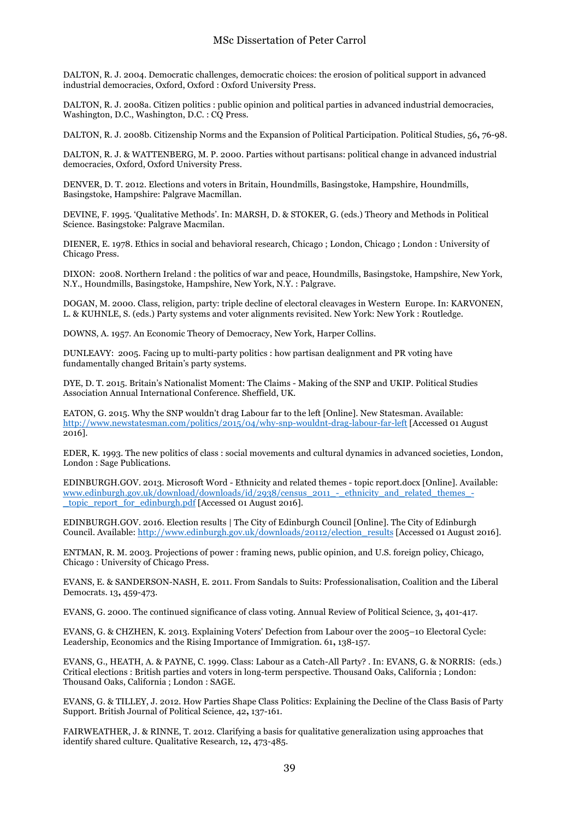DALTON, R. J. 2004. Democratic challenges, democratic choices: the erosion of political support in advanced industrial democracies, Oxford, Oxford : Oxford University Press.

DALTON, R. J. 2008a. Citizen politics : public opinion and political parties in advanced industrial democracies, Washington, D.C., Washington, D.C. : CO Press.

DALTON, R. J. 2008b. Citizenship Norms and the Expansion of Political Participation. Political Studies, 56**,** 76-98.

DALTON, R. J. & WATTENBERG, M. P. 2000. Parties without partisans: political change in advanced industrial democracies, Oxford, Oxford University Press.

DENVER, D. T. 2012. Elections and voters in Britain, Houndmills, Basingstoke, Hampshire, Houndmills, Basingstoke, Hampshire: Palgrave Macmillan.

DEVINE, F. 1995. 'Qualitative Methods'. In: MARSH, D. & STOKER, G. (eds.) Theory and Methods in Political Science. Basingstoke: Palgrave Macmilan.

DIENER, E. 1978. Ethics in social and behavioral research, Chicago ; London, Chicago ; London : University of Chicago Press.

DIXON: 2008. Northern Ireland : the politics of war and peace, Houndmills, Basingstoke, Hampshire, New York, N.Y., Houndmills, Basingstoke, Hampshire, New York, N.Y. : Palgrave.

DOGAN, M. 2000. Class, religion, party: triple decline of electoral cleavages in Western Europe. In: KARVONEN, L. & KUHNLE, S. (eds.) Party systems and voter alignments revisited. New York: New York : Routledge.

DOWNS, A. 1957. An Economic Theory of Democracy, New York, Harper Collins.

DUNLEAVY: 2005. Facing up to multi-party politics : how partisan dealignment and PR voting have fundamentally changed Britain's party systems.

DYE, D. T. 2015. Britain's Nationalist Moment: The Claims - Making of the SNP and UKIP. Political Studies Association Annual International Conference. Sheffield, UK.

EATON, G. 2015. Why the SNP wouldn't drag Labour far to the left [Online]. New Statesman. Available: http://www.newstatesman.com/politics/2015/04/why-snp-wouldnt-drag-labour-far-left [Accessed 01 August 2016].

EDER, K. 1993. The new politics of class : social movements and cultural dynamics in advanced societies, London, London : Sage Publications.

EDINBURGH.GOV. 2013. Microsoft Word - Ethnicity and related themes - topic report.docx [Online]. Available: www.edinburgh.gov.uk/download/downloads/id/2938/census\_2011\_-\_ethnicity\_and\_related\_themes\_-\_topic\_report\_for\_edinburgh.pdf [Accessed 01 August 2016].

EDINBURGH.GOV. 2016. Election results | The City of Edinburgh Council [Online]. The City of Edinburgh Council. Available: http://www.edinburgh.gov.uk/downloads/20112/election\_results [Accessed 01 August 2016].

ENTMAN, R. M. 2003. Projections of power : framing news, public opinion, and U.S. foreign policy, Chicago, Chicago : University of Chicago Press.

EVANS, E. & SANDERSON-NASH, E. 2011. From Sandals to Suits: Professionalisation, Coalition and the Liberal Democrats. 13**,** 459-473.

EVANS, G. 2000. The continued significance of class voting. Annual Review of Political Science, 3**,** 401-417.

EVANS, G. & CHZHEN, K. 2013. Explaining Voters' Defection from Labour over the 2005–10 Electoral Cycle: Leadership, Economics and the Rising Importance of Immigration. 61**,** 138-157.

EVANS, G., HEATH, A. & PAYNE, C. 1999. Class: Labour as a Catch-All Party? . In: EVANS, G. & NORRIS: (eds.) Critical elections : British parties and voters in long-term perspective. Thousand Oaks, California ; London: Thousand Oaks, California ; London : SAGE.

EVANS, G. & TILLEY, J. 2012. How Parties Shape Class Politics: Explaining the Decline of the Class Basis of Party Support. British Journal of Political Science, 42**,** 137-161.

FAIRWEATHER, J. & RINNE, T. 2012. Clarifying a basis for qualitative generalization using approaches that identify shared culture. Qualitative Research, 12**,** 473-485.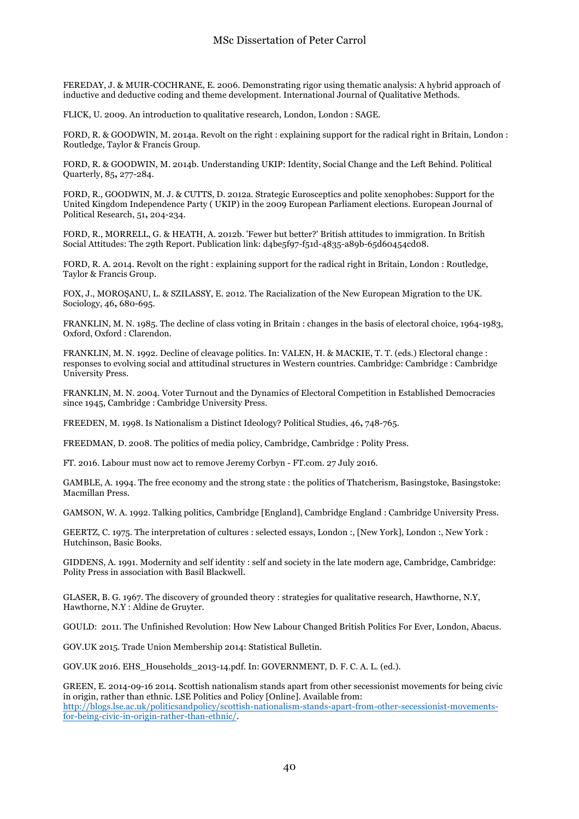FEREDAY, J. & MUIR-COCHRANE, E. 2006. Demonstrating rigor using thematic analysis: A hybrid approach of inductive and deductive coding and theme development. International Journal of Qualitative Methods.

FLICK, U. 2009. An introduction to qualitative research, London, London : SAGE.

FORD, R. & GOODWIN, M. 2014a. Revolt on the right : explaining support for the radical right in Britain, London : Routledge, Taylor & Francis Group.

FORD, R. & GOODWIN, M. 2014b. Understanding UKIP: Identity, Social Change and the Left Behind. Political Quarterly, 85**,** 277-284.

FORD, R., GOODWIN, M. J. & CUTTS, D. 2012a. Strategic Eurosceptics and polite xenophobes: Support for the United Kingdom Independence Party ( UKIP) in the 2009 European Parliament elections. European Journal of Political Research, 51**,** 204-234.

FORD, R., MORRELL, G. & HEATH, A. 2012b. 'Fewer but better?' British attitudes to immigration. In British Social Attitudes: The 29th Report. Publication link: d4be5f97-f51d-4835-a89b-65d60454cd08.

FORD, R. A. 2014. Revolt on the right : explaining support for the radical right in Britain, London : Routledge, Taylor & Francis Group.

FOX, J., MOROŞANU, L. & SZILASSY, E. 2012. The Racialization of the New European Migration to the UK. Sociology, 46**,** 680-695.

FRANKLIN, M. N. 1985. The decline of class voting in Britain : changes in the basis of electoral choice, 1964-1983, Oxford, Oxford : Clarendon.

FRANKLIN, M. N. 1992. Decline of cleavage politics. In: VALEN, H. & MACKIE, T. T. (eds.) Electoral change : responses to evolving social and attitudinal structures in Western countries. Cambridge: Cambridge : Cambridge University Press.

FRANKLIN, M. N. 2004. Voter Turnout and the Dynamics of Electoral Competition in Established Democracies since 1945, Cambridge : Cambridge University Press.

FREEDEN, M. 1998. Is Nationalism a Distinct Ideology? Political Studies, 46**,** 748-765.

FREEDMAN, D. 2008. The politics of media policy, Cambridge, Cambridge : Polity Press.

FT. 2016. Labour must now act to remove Jeremy Corbyn - FT.com. 27 July 2016.

GAMBLE, A. 1994. The free economy and the strong state : the politics of Thatcherism, Basingstoke, Basingstoke: Macmillan Press.

GAMSON, W. A. 1992. Talking politics, Cambridge [England], Cambridge England : Cambridge University Press.

GEERTZ, C. 1975. The interpretation of cultures : selected essays, London :, [New York], London :, New York : Hutchinson, Basic Books.

GIDDENS, A. 1991. Modernity and self identity : self and society in the late modern age, Cambridge, Cambridge: Polity Press in association with Basil Blackwell.

GLASER, B. G. 1967. The discovery of grounded theory : strategies for qualitative research, Hawthorne, N.Y, Hawthorne, N.Y : Aldine de Gruyter.

GOULD: 2011. The Unfinished Revolution: How New Labour Changed British Politics For Ever, London, Abacus.

GOV.UK 2015. Trade Union Membership 2014: Statistical Bulletin.

GOV.UK 2016. EHS\_Households\_2013-14.pdf. In: GOVERNMENT, D. F. C. A. L. (ed.).

GREEN, E. 2014-09-16 2014. Scottish nationalism stands apart from other secessionist movements for being civic in origin, rather than ethnic. LSE Politics and Policy [Online]. Available from: http://blogs.lse.ac.uk/politicsandpolicy/scottish-nationalism-stands-apart-from-other-secessionist-movementsfor-being-civic-in-origin-rather-than-ethnic/.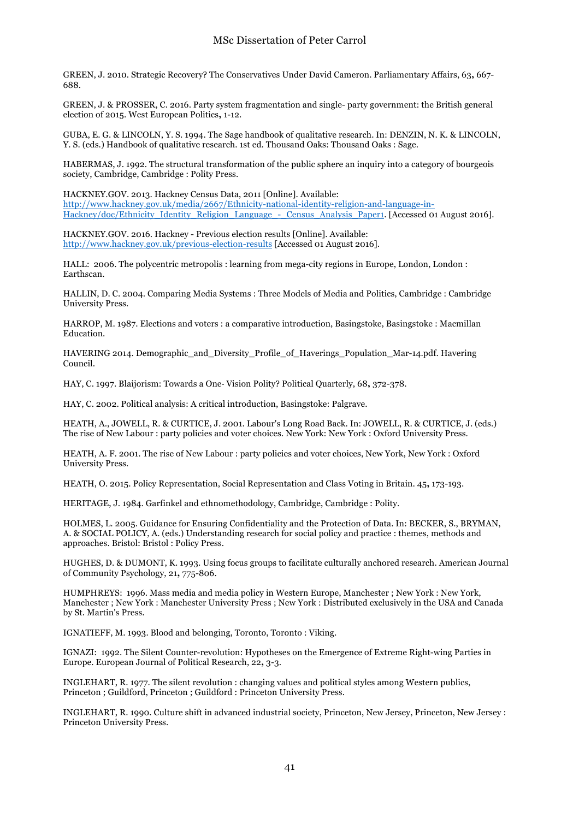GREEN, J. 2010. Strategic Recovery? The Conservatives Under David Cameron. Parliamentary Affairs, 63**,** 667- 688.

GREEN, J. & PROSSER, C. 2016. Party system fragmentation and single- party government: the British general election of 2015. West European Politics**,** 1-12.

GUBA, E. G. & LINCOLN, Y. S. 1994. The Sage handbook of qualitative research. In: DENZIN, N. K. & LINCOLN, Y. S. (eds.) Handbook of qualitative research. 1st ed. Thousand Oaks: Thousand Oaks : Sage.

HABERMAS, J. 1992. The structural transformation of the public sphere an inquiry into a category of bourgeois society, Cambridge, Cambridge : Polity Press.

HACKNEY.GOV. 2013. Hackney Census Data, 2011 [Online]. Available: http://www.hackney.gov.uk/media/2667/Ethnicity-national-identity-religion-and-language-in-Hackney/doc/Ethnicity\_Identity\_Religion\_Language\_-\_Census\_Analysis\_Paper1. [Accessed 01 August 2016].

HACKNEY.GOV. 2016. Hackney - Previous election results [Online]. Available: http://www.hackney.gov.uk/previous-election-results [Accessed 01 August 2016].

HALL: 2006. The polycentric metropolis : learning from mega-city regions in Europe, London, London : Earthscan.

HALLIN, D. C. 2004. Comparing Media Systems : Three Models of Media and Politics, Cambridge : Cambridge University Press.

HARROP, M. 1987. Elections and voters : a comparative introduction, Basingstoke, Basingstoke : Macmillan Education.

HAVERING 2014. Demographic\_and\_Diversity\_Profile\_of\_Haverings\_Population\_Mar-14.pdf. Havering Council.

HAY, C. 1997. Blaijorism: Towards a One- Vision Polity? Political Quarterly, 68**,** 372-378.

HAY, C. 2002. Political analysis: A critical introduction, Basingstoke: Palgrave.

HEATH, A., JOWELL, R. & CURTICE, J. 2001. Labour's Long Road Back. In: JOWELL, R. & CURTICE, J. (eds.) The rise of New Labour : party policies and voter choices. New York: New York : Oxford University Press.

HEATH, A. F. 2001. The rise of New Labour : party policies and voter choices, New York, New York : Oxford University Press.

HEATH, O. 2015. Policy Representation, Social Representation and Class Voting in Britain. 45**,** 173-193.

HERITAGE, J. 1984. Garfinkel and ethnomethodology, Cambridge, Cambridge : Polity.

HOLMES, L. 2005. Guidance for Ensuring Confidentiality and the Protection of Data. In: BECKER, S., BRYMAN, A. & SOCIAL POLICY, A. (eds.) Understanding research for social policy and practice : themes, methods and approaches. Bristol: Bristol : Policy Press.

HUGHES, D. & DUMONT, K. 1993. Using focus groups to facilitate culturally anchored research. American Journal of Community Psychology, 21**,** 775-806.

HUMPHREYS: 1996. Mass media and media policy in Western Europe, Manchester ; New York : New York, Manchester ; New York : Manchester University Press ; New York : Distributed exclusively in the USA and Canada by St. Martin's Press.

IGNATIEFF, M. 1993. Blood and belonging, Toronto, Toronto : Viking.

IGNAZI: 1992. The Silent Counter-revolution: Hypotheses on the Emergence of Extreme Right-wing Parties in Europe. European Journal of Political Research, 22**,** 3-3.

INGLEHART, R. 1977. The silent revolution : changing values and political styles among Western publics, Princeton ; Guildford, Princeton ; Guildford : Princeton University Press.

INGLEHART, R. 1990. Culture shift in advanced industrial society, Princeton, New Jersey, Princeton, New Jersey : Princeton University Press.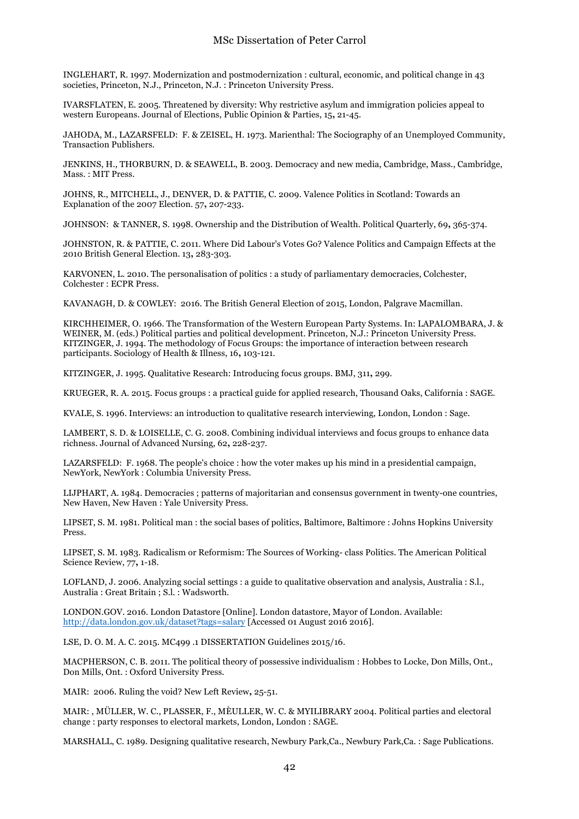#### MSc Dissertation of Peter Carrol

INGLEHART, R. 1997. Modernization and postmodernization : cultural, economic, and political change in 43 societies, Princeton, N.J., Princeton, N.J. : Princeton University Press.

IVARSFLATEN, E. 2005. Threatened by diversity: Why restrictive asylum and immigration policies appeal to western Europeans. Journal of Elections, Public Opinion & Parties, 15**,** 21-45.

JAHODA, M., LAZARSFELD: F. & ZEISEL, H. 1973. Marienthal: The Sociography of an Unemployed Community, Transaction Publishers.

JENKINS, H., THORBURN, D. & SEAWELL, B. 2003. Democracy and new media, Cambridge, Mass., Cambridge, Mass. : MIT Press.

JOHNS, R., MITCHELL, J., DENVER, D. & PATTIE, C. 2009. Valence Politics in Scotland: Towards an Explanation of the 2007 Election. 57**,** 207-233.

JOHNSON: & TANNER, S. 1998. Ownership and the Distribution of Wealth. Political Quarterly, 69**,** 365-374.

JOHNSTON, R. & PATTIE, C. 2011. Where Did Labour's Votes Go? Valence Politics and Campaign Effects at the 2010 British General Election. 13**,** 283-303.

KARVONEN, L. 2010. The personalisation of politics : a study of parliamentary democracies, Colchester, Colchester : ECPR Press.

KAVANAGH, D. & COWLEY: 2016. The British General Election of 2015, London, Palgrave Macmillan.

KIRCHHEIMER, O. 1966. The Transformation of the Western European Party Systems. In: LAPALOMBARA, J. & WEINER, M. (eds.) Political parties and political development. Princeton, N.J.: Princeton University Press. KITZINGER, J. 1994. The methodology of Focus Groups: the importance of interaction between research participants. Sociology of Health & Illness, 16**,** 103-121.

KITZINGER, J. 1995. Qualitative Research: Introducing focus groups. BMJ, 311**,** 299.

KRUEGER, R. A. 2015. Focus groups : a practical guide for applied research, Thousand Oaks, California : SAGE.

KVALE, S. 1996. Interviews: an introduction to qualitative research interviewing, London, London : Sage.

LAMBERT, S. D. & LOISELLE, C. G. 2008. Combining individual interviews and focus groups to enhance data richness. Journal of Advanced Nursing, 62**,** 228-237.

LAZARSFELD: F. 1968. The people's choice : how the voter makes up his mind in a presidential campaign, NewYork, NewYork : Columbia University Press.

LIJPHART, A. 1984. Democracies ; patterns of majoritarian and consensus government in twenty-one countries, New Haven, New Haven : Yale University Press.

LIPSET, S. M. 1981. Political man : the social bases of politics, Baltimore, Baltimore : Johns Hopkins University Press.

LIPSET, S. M. 1983. Radicalism or Reformism: The Sources of Working- class Politics. The American Political Science Review, 77**,** 1-18.

LOFLAND, J. 2006. Analyzing social settings : a guide to qualitative observation and analysis, Australia : S.l., Australia : Great Britain ; S.l. : Wadsworth.

LONDON.GOV. 2016. London Datastore [Online]. London datastore, Mayor of London. Available: http://data.london.gov.uk/dataset?tags=salary [Accessed 01 August 2016 2016].

LSE, D. O. M. A. C. 2015. MC499 .1 DISSERTATION Guidelines 2015/16.

MACPHERSON, C. B. 2011. The political theory of possessive individualism : Hobbes to Locke, Don Mills, Ont., Don Mills, Ont. : Oxford University Press.

MAIR: 2006. Ruling the void? New Left Review**,** 25-51.

MAIR: , MÜLLER, W. C., PLASSER, F., MÈULLER, W. C. & MYILIBRARY 2004. Political parties and electoral change : party responses to electoral markets, London, London : SAGE.

MARSHALL, C. 1989. Designing qualitative research, Newbury Park,Ca., Newbury Park,Ca. : Sage Publications.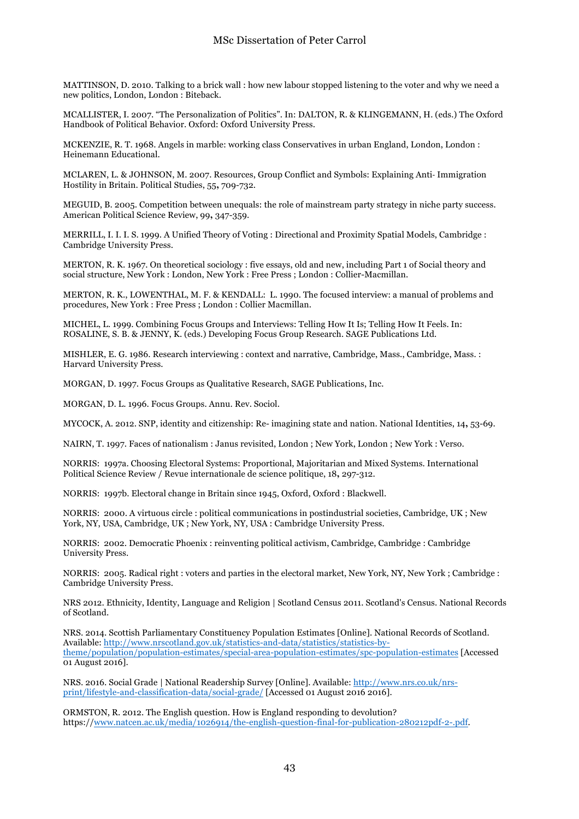MATTINSON, D. 2010. Talking to a brick wall : how new labour stopped listening to the voter and why we need a new politics, London, London : Biteback.

MCALLISTER, I. 2007. "The Personalization of Politics". In: DALTON, R. & KLINGEMANN, H. (eds.) The Oxford Handbook of Political Behavior. Oxford: Oxford University Press.

MCKENZIE, R. T. 1968. Angels in marble: working class Conservatives in urban England, London, London : Heinemann Educational.

MCLAREN, L. & JOHNSON, M. 2007. Resources, Group Conflict and Symbols: Explaining Anti- Immigration Hostility in Britain. Political Studies, 55**,** 709-732.

MEGUID, B. 2005. Competition between unequals: the role of mainstream party strategy in niche party success. American Political Science Review, 99**,** 347-359.

MERRILL, I. I. I. S. 1999. A Unified Theory of Voting : Directional and Proximity Spatial Models, Cambridge : Cambridge University Press.

MERTON, R. K. 1967. On theoretical sociology : five essays, old and new, including Part 1 of Social theory and social structure, New York : London, New York : Free Press ; London : Collier-Macmillan.

MERTON, R. K., LOWENTHAL, M. F. & KENDALL: L. 1990. The focused interview: a manual of problems and procedures, New York : Free Press ; London : Collier Macmillan.

MICHEL, L. 1999. Combining Focus Groups and Interviews: Telling How It Is; Telling How It Feels. In: ROSALINE, S. B. & JENNY, K. (eds.) Developing Focus Group Research. SAGE Publications Ltd.

MISHLER, E. G. 1986. Research interviewing : context and narrative, Cambridge, Mass., Cambridge, Mass. : Harvard University Press.

MORGAN, D. 1997. Focus Groups as Qualitative Research, SAGE Publications, Inc.

MORGAN, D. L. 1996. Focus Groups. Annu. Rev. Sociol.

MYCOCK, A. 2012. SNP, identity and citizenship: Re- imagining state and nation. National Identities, 14**,** 53-69.

NAIRN, T. 1997. Faces of nationalism : Janus revisited, London ; New York, London ; New York : Verso.

NORRIS: 1997a. Choosing Electoral Systems: Proportional, Majoritarian and Mixed Systems. International Political Science Review / Revue internationale de science politique, 18**,** 297-312.

NORRIS: 1997b. Electoral change in Britain since 1945, Oxford, Oxford : Blackwell.

NORRIS: 2000. A virtuous circle : political communications in postindustrial societies, Cambridge, UK ; New York, NY, USA, Cambridge, UK ; New York, NY, USA : Cambridge University Press.

NORRIS: 2002. Democratic Phoenix : reinventing political activism, Cambridge, Cambridge : Cambridge University Press.

NORRIS: 2005. Radical right : voters and parties in the electoral market, New York, NY, New York ; Cambridge : Cambridge University Press.

NRS 2012. Ethnicity, Identity, Language and Religion | Scotland Census 2011. Scotland's Census. National Records of Scotland.

NRS. 2014. Scottish Parliamentary Constituency Population Estimates [Online]. National Records of Scotland. Available: http://www.nrscotland.gov.uk/statistics-and-data/statistics/statistics-bytheme/population/population-estimates/special-area-population-estimates/spc-population-estimates [Accessed 01 August 2016].

NRS. 2016. Social Grade | National Readership Survey [Online]. Available: http://www.nrs.co.uk/nrsprint/lifestyle-and-classification-data/social-grade/ [Accessed 01 August 2016 2016].

ORMSTON, R. 2012. The English question. How is England responding to devolution? https://www.natcen.ac.uk/media/1026914/the-english-question-final-for-publication-280212pdf-2-.pdf.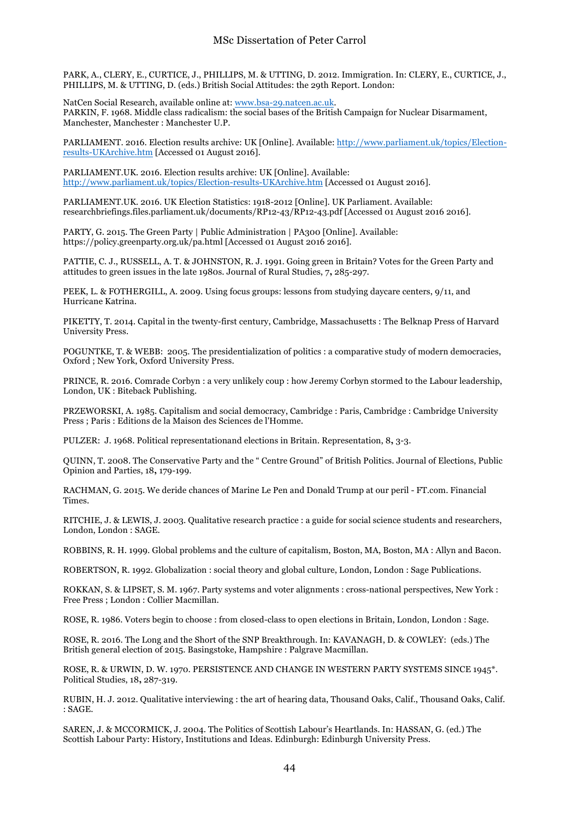PARK, A., CLERY, E., CURTICE, J., PHILLIPS, M. & UTTING, D. 2012. Immigration. In: CLERY, E., CURTICE, J., PHILLIPS, M. & UTTING, D. (eds.) British Social Attitudes: the 29th Report. London:

NatCen Social Research, available online at: www.bsa-29.natcen.ac.uk. PARKIN, F. 1968. Middle class radicalism: the social bases of the British Campaign for Nuclear Disarmament, Manchester, Manchester : Manchester U.P.

PARLIAMENT. 2016. Election results archive: UK [Online]. Available: http://www.parliament.uk/topics/Electionresults-UKArchive.htm [Accessed 01 August 2016].

PARLIAMENT.UK. 2016. Election results archive: UK [Online]. Available: http://www.parliament.uk/topics/Election-results-UKArchive.htm [Accessed 01 August 2016].

PARLIAMENT.UK. 2016. UK Election Statistics: 1918-2012 [Online]. UK Parliament. Available: researchbriefings.files.parliament.uk/documents/RP12-43/RP12-43.pdf [Accessed 01 August 2016 2016].

PARTY, G. 2015. The Green Party | Public Administration | PA300 [Online]. Available: https://policy.greenparty.org.uk/pa.html [Accessed 01 August 2016 2016].

PATTIE, C. J., RUSSELL, A. T. & JOHNSTON, R. J. 1991. Going green in Britain? Votes for the Green Party and attitudes to green issues in the late 1980s. Journal of Rural Studies, 7**,** 285-297.

PEEK, L. & FOTHERGILL, A. 2009. Using focus groups: lessons from studying daycare centers, 9/11, and Hurricane Katrina.

PIKETTY, T. 2014. Capital in the twenty-first century, Cambridge, Massachusetts : The Belknap Press of Harvard University Press.

POGUNTKE, T. & WEBB: 2005. The presidentialization of politics : a comparative study of modern democracies, Oxford ; New York, Oxford University Press.

PRINCE, R. 2016. Comrade Corbyn : a very unlikely coup : how Jeremy Corbyn stormed to the Labour leadership, London, UK : Biteback Publishing.

PRZEWORSKI, A. 1985. Capitalism and social democracy, Cambridge : Paris, Cambridge : Cambridge University Press ; Paris : Editions de la Maison des Sciences de l'Homme.

PULZER: J. 1968. Political representationand elections in Britain. Representation, 8**,** 3-3.

QUINN, T. 2008. The Conservative Party and the " Centre Ground" of British Politics. Journal of Elections, Public Opinion and Parties, 18**,** 179-199.

RACHMAN, G. 2015. We deride chances of Marine Le Pen and Donald Trump at our peril - FT.com. Financial Times.

RITCHIE, J. & LEWIS, J. 2003. Qualitative research practice : a guide for social science students and researchers, London, London : SAGE.

ROBBINS, R. H. 1999. Global problems and the culture of capitalism, Boston, MA, Boston, MA : Allyn and Bacon.

ROBERTSON, R. 1992. Globalization : social theory and global culture, London, London : Sage Publications.

ROKKAN, S. & LIPSET, S. M. 1967. Party systems and voter alignments : cross-national perspectives, New York : Free Press ; London : Collier Macmillan.

ROSE, R. 1986. Voters begin to choose : from closed-class to open elections in Britain, London, London : Sage.

ROSE, R. 2016. The Long and the Short of the SNP Breakthrough. In: KAVANAGH, D. & COWLEY: (eds.) The British general election of 2015. Basingstoke, Hampshire : Palgrave Macmillan.

ROSE, R. & URWIN, D. W. 1970. PERSISTENCE AND CHANGE IN WESTERN PARTY SYSTEMS SINCE 1945\*. Political Studies, 18**,** 287-319.

RUBIN, H. J. 2012. Qualitative interviewing : the art of hearing data, Thousand Oaks, Calif., Thousand Oaks, Calif. : SAGE.

SAREN, J. & MCCORMICK, J. 2004. The Politics of Scottish Labour's Heartlands. In: HASSAN, G. (ed.) The Scottish Labour Party: History, Institutions and Ideas. Edinburgh: Edinburgh University Press.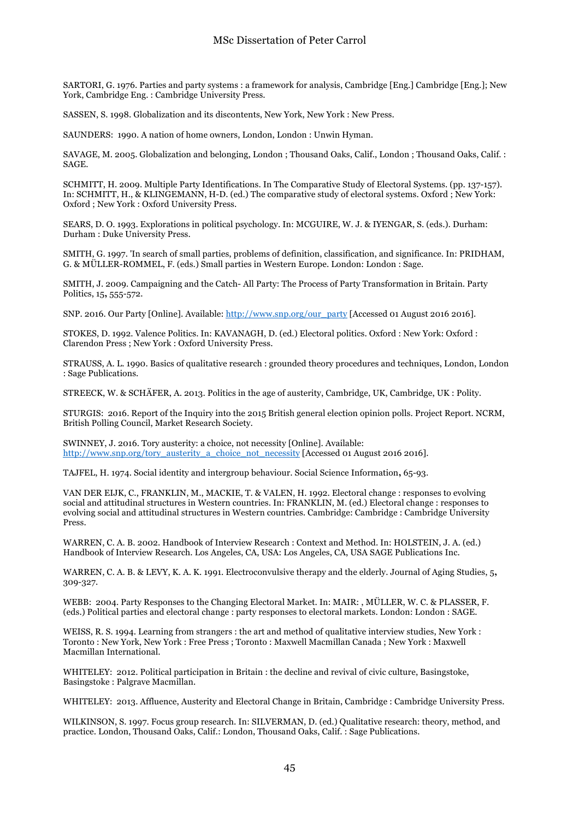SARTORI, G. 1976. Parties and party systems : a framework for analysis, Cambridge [Eng.] Cambridge [Eng.]; New York, Cambridge Eng. : Cambridge University Press.

SASSEN, S. 1998. Globalization and its discontents, New York, New York : New Press.

SAUNDERS: 1990. A nation of home owners, London, London : Unwin Hyman.

SAVAGE, M. 2005. Globalization and belonging, London ; Thousand Oaks, Calif., London ; Thousand Oaks, Calif. : SAGE.

SCHMITT, H. 2009. Multiple Party Identifications. In The Comparative Study of Electoral Systems. (pp. 137-157). In: SCHMITT, H., & KLINGEMANN, H-D. (ed.) The comparative study of electoral systems. Oxford ; New York: Oxford ; New York : Oxford University Press.

SEARS, D. O. 1993. Explorations in political psychology. In: MCGUIRE, W. J. & IYENGAR, S. (eds.). Durham: Durham : Duke University Press.

SMITH, G. 1997. 'In search of small parties, problems of definition, classification, and significance. In: PRIDHAM, G. & MÜLLER-ROMMEL, F. (eds.) Small parties in Western Europe. London: London : Sage.

SMITH, J. 2009. Campaigning and the Catch- All Party: The Process of Party Transformation in Britain. Party Politics, 15**,** 555-572.

SNP. 2016. Our Party [Online]. Available: http://www.snp.org/our\_party [Accessed 01 August 2016 2016].

STOKES, D. 1992. Valence Politics. In: KAVANAGH, D. (ed.) Electoral politics. Oxford : New York: Oxford : Clarendon Press ; New York : Oxford University Press.

STRAUSS, A. L. 1990. Basics of qualitative research : grounded theory procedures and techniques, London, London : Sage Publications.

STREECK, W. & SCHÄFER, A. 2013. Politics in the age of austerity, Cambridge, UK, Cambridge, UK : Polity.

STURGIS: 2016. Report of the Inquiry into the 2015 British general election opinion polls. Project Report. NCRM, British Polling Council, Market Research Society.

SWINNEY, J. 2016. Tory austerity: a choice, not necessity [Online]. Available: http://www.snp.org/tory\_austerity\_a\_choice\_not\_necessity [Accessed 01 August 2016 2016].

TAJFEL, H. 1974. Social identity and intergroup behaviour. Social Science Information**,** 65-93.

VAN DER EIJK, C., FRANKLIN, M., MACKIE, T. & VALEN, H. 1992. Electoral change : responses to evolving social and attitudinal structures in Western countries. In: FRANKLIN, M. (ed.) Electoral change : responses to evolving social and attitudinal structures in Western countries. Cambridge: Cambridge : Cambridge University Press.

WARREN, C. A. B. 2002. Handbook of Interview Research : Context and Method. In: HOLSTEIN, J. A. (ed.) Handbook of Interview Research. Los Angeles, CA, USA: Los Angeles, CA, USA SAGE Publications Inc.

WARREN, C. A. B. & LEVY, K. A. K. 1991. Electroconvulsive therapy and the elderly. Journal of Aging Studies, 5**,** 309-327.

WEBB: 2004. Party Responses to the Changing Electoral Market. In: MAIR: , MÜLLER, W. C. & PLASSER, F. (eds.) Political parties and electoral change : party responses to electoral markets. London: London : SAGE.

WEISS, R. S. 1994. Learning from strangers : the art and method of qualitative interview studies, New York : Toronto : New York, New York : Free Press ; Toronto : Maxwell Macmillan Canada ; New York : Maxwell Macmillan International.

WHITELEY: 2012. Political participation in Britain : the decline and revival of civic culture, Basingstoke, Basingstoke : Palgrave Macmillan.

WHITELEY: 2013. Affluence, Austerity and Electoral Change in Britain, Cambridge : Cambridge University Press.

WILKINSON, S. 1997. Focus group research. In: SILVERMAN, D. (ed.) Qualitative research: theory, method, and practice. London, Thousand Oaks, Calif.: London, Thousand Oaks, Calif. : Sage Publications.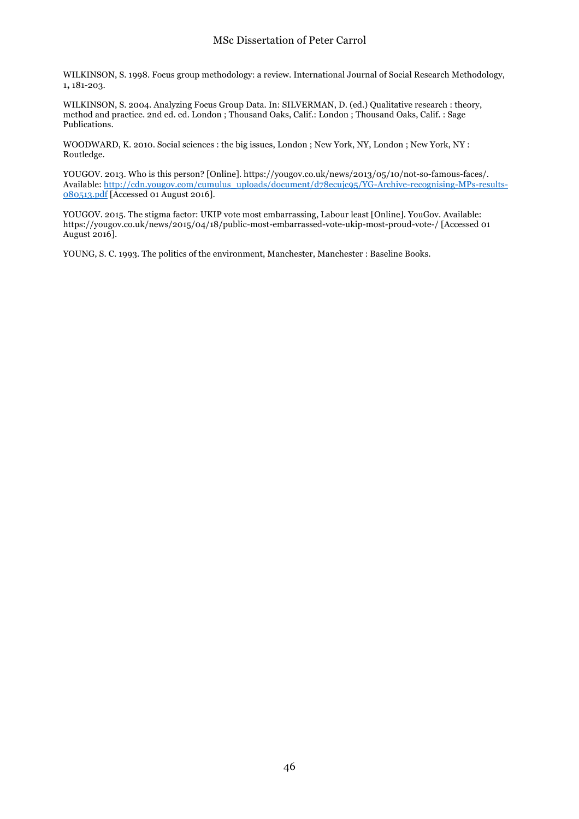WILKINSON, S. 1998. Focus group methodology: a review. International Journal of Social Research Methodology, 1**,** 181-203.

WILKINSON, S. 2004. Analyzing Focus Group Data. In: SILVERMAN, D. (ed.) Qualitative research : theory, method and practice. 2nd ed. ed. London ; Thousand Oaks, Calif.: London ; Thousand Oaks, Calif. : Sage Publications.

WOODWARD, K. 2010. Social sciences : the big issues, London ; New York, NY, London ; New York, NY : Routledge.

YOUGOV. 2013. Who is this person? [Online]. https://yougov.co.uk/news/2013/05/10/not-so-famous-faces/. Available: http://cdn.yougov.com/cumulus\_uploads/document/d78ecujc95/YG-Archive-recognising-MPs-results-080513.pdf [Accessed 01 August 2016].

YOUGOV. 2015. The stigma factor: UKIP vote most embarrassing, Labour least [Online]. YouGov. Available: https://yougov.co.uk/news/2015/04/18/public-most-embarrassed-vote-ukip-most-proud-vote-/ [Accessed 01 August 2016].

YOUNG, S. C. 1993. The politics of the environment, Manchester, Manchester : Baseline Books.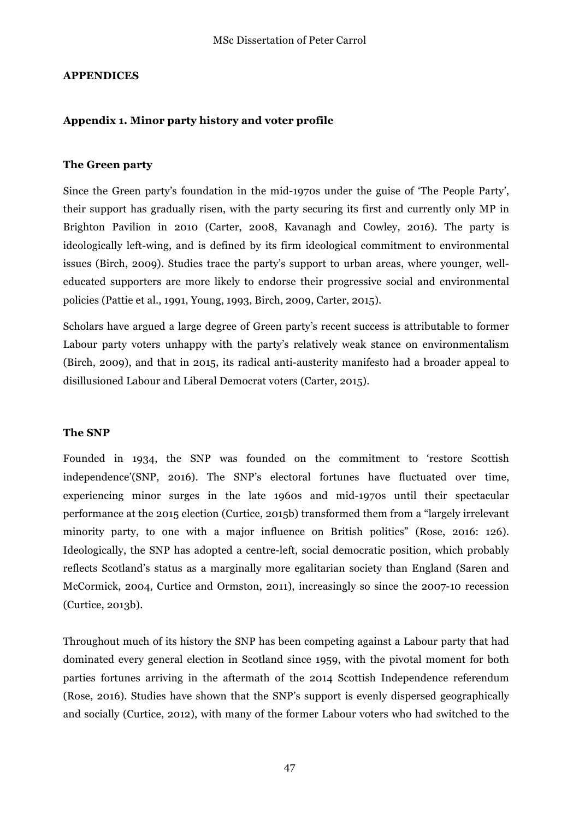### **APPENDICES**

#### **Appendix 1. Minor party history and voter profile**

#### **The Green party**

Since the Green party's foundation in the mid-1970s under the guise of 'The People Party', their support has gradually risen, with the party securing its first and currently only MP in Brighton Pavilion in 2010 (Carter, 2008, Kavanagh and Cowley, 2016). The party is ideologically left-wing, and is defined by its firm ideological commitment to environmental issues (Birch, 2009). Studies trace the party's support to urban areas, where younger, welleducated supporters are more likely to endorse their progressive social and environmental policies (Pattie et al., 1991, Young, 1993, Birch, 2009, Carter, 2015).

Scholars have argued a large degree of Green party's recent success is attributable to former Labour party voters unhappy with the party's relatively weak stance on environmentalism (Birch, 2009), and that in 2015, its radical anti-austerity manifesto had a broader appeal to disillusioned Labour and Liberal Democrat voters (Carter, 2015).

#### **The SNP**

Founded in 1934, the SNP was founded on the commitment to 'restore Scottish independence'(SNP, 2016). The SNP's electoral fortunes have fluctuated over time, experiencing minor surges in the late 1960s and mid-1970s until their spectacular performance at the 2015 election (Curtice, 2015b) transformed them from a "largely irrelevant minority party, to one with a major influence on British politics" (Rose, 2016: 126). Ideologically, the SNP has adopted a centre-left, social democratic position, which probably reflects Scotland's status as a marginally more egalitarian society than England (Saren and McCormick, 2004, Curtice and Ormston, 2011), increasingly so since the 2007-10 recession (Curtice, 2013b).

Throughout much of its history the SNP has been competing against a Labour party that had dominated every general election in Scotland since 1959, with the pivotal moment for both parties fortunes arriving in the aftermath of the 2014 Scottish Independence referendum (Rose, 2016). Studies have shown that the SNP's support is evenly dispersed geographically and socially (Curtice, 2012), with many of the former Labour voters who had switched to the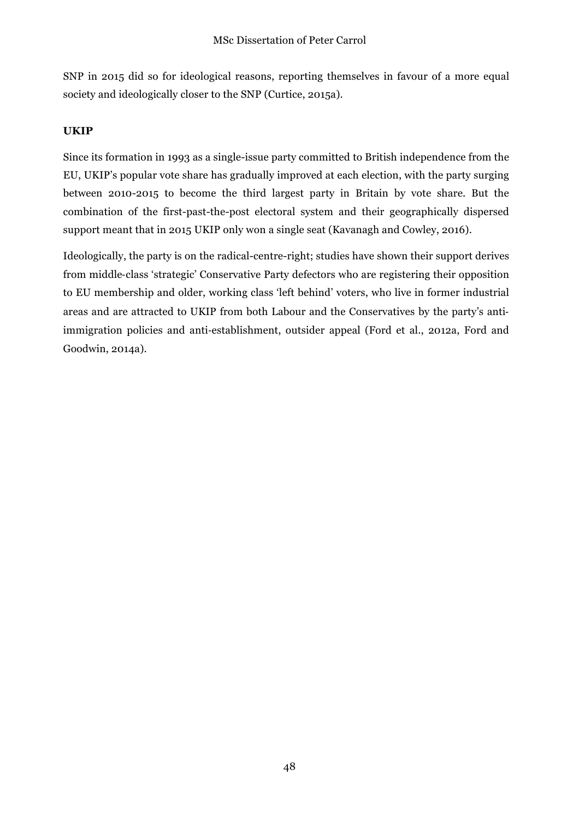SNP in 2015 did so for ideological reasons, reporting themselves in favour of a more equal society and ideologically closer to the SNP (Curtice, 2015a).

## **UKIP**

Since its formation in 1993 as a single-issue party committed to British independence from the EU, UKIP's popular vote share has gradually improved at each election, with the party surging between 2010-2015 to become the third largest party in Britain by vote share. But the combination of the first-past-the-post electoral system and their geographically dispersed support meant that in 2015 UKIP only won a single seat (Kavanagh and Cowley, 2016).

Ideologically, the party is on the radical-centre-right; studies have shown their support derives from middle-class 'strategic' Conservative Party defectors who are registering their opposition to EU membership and older, working class 'left behind' voters, who live in former industrial areas and are attracted to UKIP from both Labour and the Conservatives by the party's antiimmigration policies and anti-establishment, outsider appeal (Ford et al., 2012a, Ford and Goodwin, 2014a).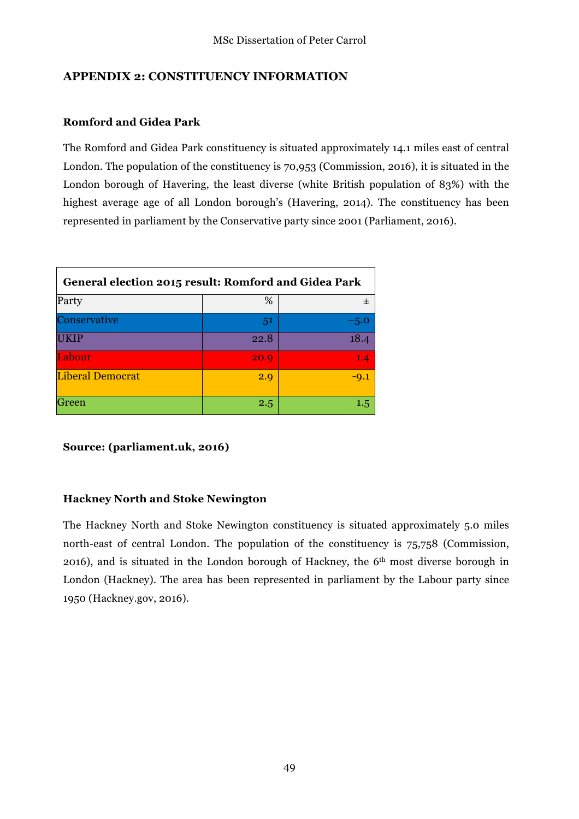## **APPENDIX 2: CONSTITUENCY INFORMATION**

## **Romford and Gidea Park**

The Romford and Gidea Park constituency is situated approximately 14.1 miles east of central London. The population of the constituency is 70,953 (Commission, 2016), it is situated in the London borough of Havering, the least diverse (white British population of 83%) with the highest average age of all London borough's (Havering, 2014). The constituency has been represented in parliament by the Conservative party since 2001 (Parliament, 2016).

| General election 2015 result: Romford and Gidea Park |      |        |  |  |  |  |
|------------------------------------------------------|------|--------|--|--|--|--|
| Party                                                | %    | +      |  |  |  |  |
| Conservative                                         | 51   | $-5.0$ |  |  |  |  |
| UKIP                                                 | 22.8 | 18.4   |  |  |  |  |
| Labour                                               | 20.9 | 1.4    |  |  |  |  |
| <b>Liberal Democrat</b>                              | 2.9  | $-9.1$ |  |  |  |  |
| Green                                                | 2.5  | 1.5    |  |  |  |  |

**Source: (parliament.uk, 2016)**

## **Hackney North and Stoke Newington**

The Hackney North and Stoke Newington constituency is situated approximately 5.0 miles north-east of central London. The population of the constituency is 75,758 (Commission, 2016), and is situated in the London borough of Hackney, the 6th most diverse borough in London (Hackney). The area has been represented in parliament by the Labour party since 1950 (Hackney.gov, 2016).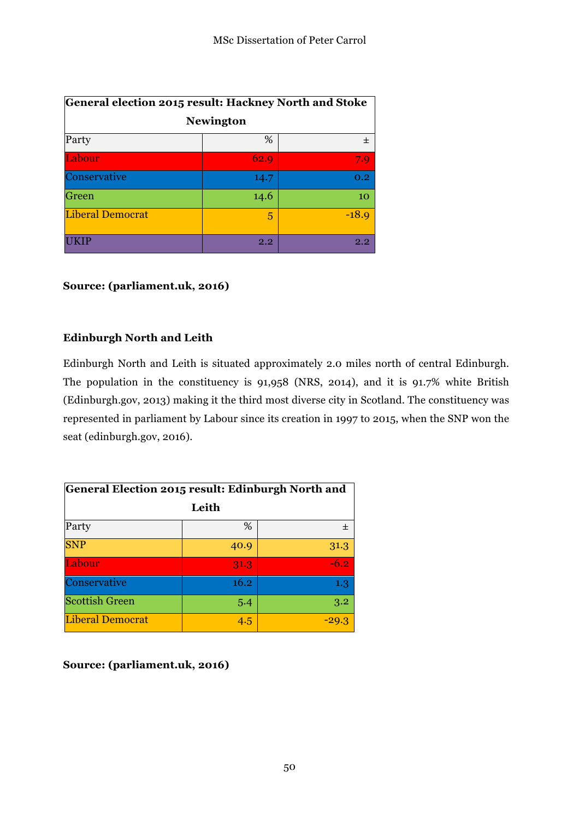| General election 2015 result: Hackney North and Stoke |         |         |  |  |  |  |
|-------------------------------------------------------|---------|---------|--|--|--|--|
| <b>Newington</b>                                      |         |         |  |  |  |  |
| Party                                                 | %       | $\pm$   |  |  |  |  |
| Labour                                                | 62.9    | 7.9     |  |  |  |  |
| Conservative                                          | 14.7    | 0.2     |  |  |  |  |
| Green                                                 | 14.6    | 10      |  |  |  |  |
| <b>Liberal Democrat</b>                               | 5       | $-18.9$ |  |  |  |  |
|                                                       | $2.2\,$ | 2.2     |  |  |  |  |

## **Source: (parliament.uk, 2016)**

## **Edinburgh North and Leith**

Edinburgh North and Leith is situated approximately 2.0 miles north of central Edinburgh. The population in the constituency is 91,958 (NRS, 2014), and it is 91.7% white British (Edinburgh.gov, 2013) making it the third most diverse city in Scotland. The constituency was represented in parliament by Labour since its creation in 1997 to 2015, when the SNP won the seat (edinburgh.gov, 2016).

| General Election 2015 result: Edinburgh North and |      |        |  |  |  |  |  |
|---------------------------------------------------|------|--------|--|--|--|--|--|
| Leith                                             |      |        |  |  |  |  |  |
| Party                                             | %    | 士      |  |  |  |  |  |
| <b>SNP</b>                                        | 40.9 | 31.3   |  |  |  |  |  |
| Labour                                            | 31.3 | $-6.2$ |  |  |  |  |  |
| Conservative                                      | 16.2 | 1.3    |  |  |  |  |  |
| <b>Scottish Green</b>                             | 5.4  | 3.2    |  |  |  |  |  |
| <b>Liberal Democrat</b>                           | 4.5  | -29.3  |  |  |  |  |  |

**Source: (parliament.uk, 2016)**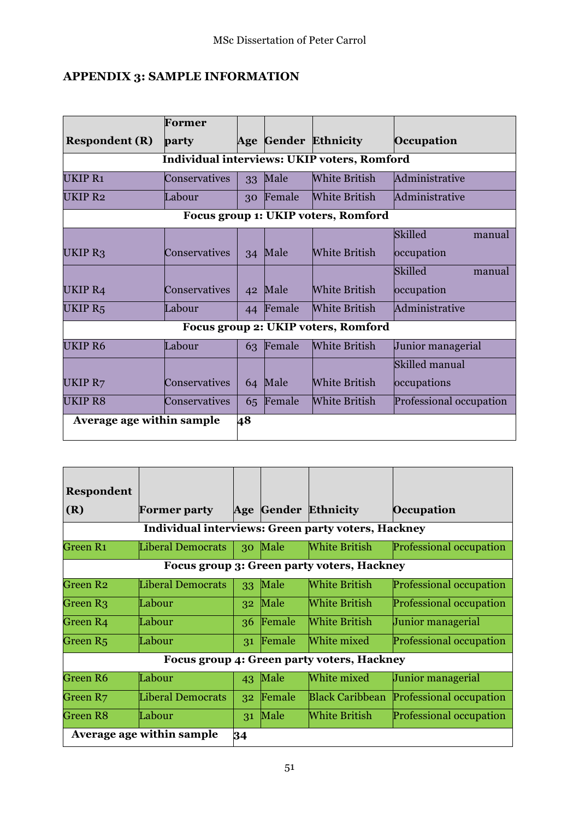## **APPENDIX 3: SAMPLE INFORMATION**

|                                             | Former        |    |        |                                     |                          |  |  |  |
|---------------------------------------------|---------------|----|--------|-------------------------------------|--------------------------|--|--|--|
| <b>Respondent (R)</b>                       | party         |    |        | Age Gender Ethnicity                | Occupation               |  |  |  |
| Individual interviews: UKIP voters, Romford |               |    |        |                                     |                          |  |  |  |
| <b>UKIP R1</b>                              | Conservatives | 33 | Male   | <b>White British</b>                | Administrative           |  |  |  |
| UKIP <sub>R2</sub>                          | Labour        | 30 | Female | <b>White British</b>                | Administrative           |  |  |  |
| Focus group 1: UKIP voters, Romford         |               |    |        |                                     |                          |  |  |  |
|                                             |               |    |        |                                     | <b>Skilled</b><br>manual |  |  |  |
| UKIP <sub>R3</sub>                          | Conservatives | 34 | Male   | White British                       | occupation               |  |  |  |
|                                             |               |    |        |                                     | <b>Skilled</b><br>manual |  |  |  |
| UKIP R4                                     | Conservatives | 42 | Male   | <b>White British</b>                | occupation               |  |  |  |
| UKIP <sub>R5</sub>                          | Labour        | 44 | Female | <b>White British</b>                | Administrative           |  |  |  |
|                                             |               |    |        | Focus group 2: UKIP voters, Romford |                          |  |  |  |
| <b>UKIP R6</b>                              | Labour        | 63 | Female | White British                       | Junior managerial        |  |  |  |
|                                             |               |    |        |                                     | Skilled manual           |  |  |  |
| UKIP R7                                     | Conservatives | 64 | Male   | <b>White British</b>                | occupations              |  |  |  |
| <b>UKIP R8</b>                              | Conservatives | 65 | Female | <b>White British</b>                | Professional occupation  |  |  |  |
| Average age within sample                   |               | 48 |        |                                     |                          |  |  |  |
|                                             |               |    |        |                                     |                          |  |  |  |

| <b>Respondent</b>    |                                                    |    |        |                                            |                                |  |  |
|----------------------|----------------------------------------------------|----|--------|--------------------------------------------|--------------------------------|--|--|
| (R)                  | <b>Former party</b>                                |    |        | <b>Age Gender Ethnicity</b>                | Occupation                     |  |  |
|                      | Individual interviews: Green party voters, Hackney |    |        |                                            |                                |  |  |
| Green R <sub>1</sub> | <b>Liberal Democrats</b>                           | 30 | Male   | White British                              | <b>Professional occupation</b> |  |  |
|                      | Focus group 3: Green party voters, Hackney         |    |        |                                            |                                |  |  |
| Green R <sub>2</sub> | <b>Liberal Democrats</b>                           | 33 | Male   | White British                              | <b>Professional occupation</b> |  |  |
| Green R <sub>3</sub> | Labour                                             | 32 | Male   | <b>White British</b>                       | <b>Professional occupation</b> |  |  |
| Green R4             | Labour                                             | 36 | Female | White British                              | Junior managerial              |  |  |
| Green R <sub>5</sub> | Labour                                             | 31 | Female | White mixed                                | Professional occupation        |  |  |
|                      |                                                    |    |        | Focus group 4: Green party voters, Hackney |                                |  |  |
| Green R6             | Labour                                             | 43 | Male   | White mixed                                | Junior managerial              |  |  |
| Green R7             | <b>Liberal Democrats</b>                           | 32 | Female | <b>Black Caribbean</b>                     | Professional occupation        |  |  |
| <b>Green R8</b>      | Labour                                             | 31 | Male   | <b>White British</b>                       | Professional occupation        |  |  |
|                      | Average age within sample                          | 34 |        |                                            |                                |  |  |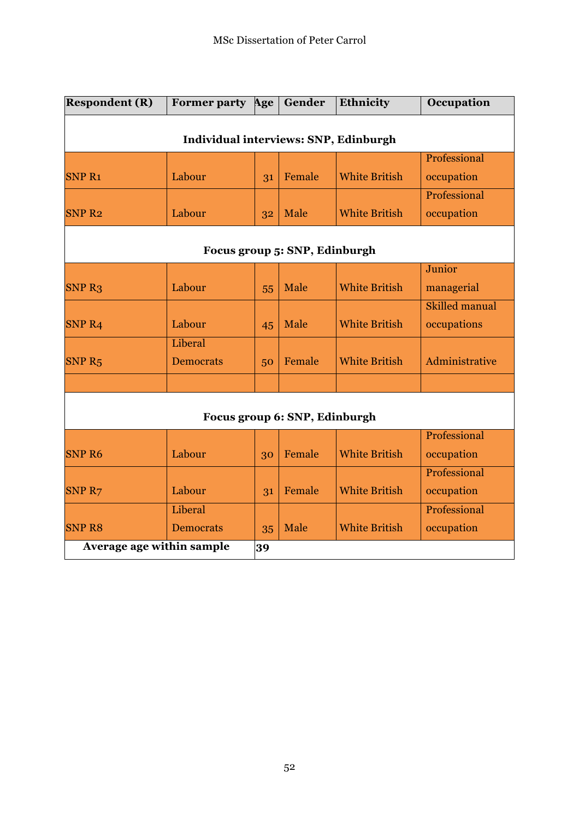| <b>Respondent (R)</b>                 | <b>Former party</b>         | Age | Gender                        | Ethnicity            | Occupation            |  |  |  |
|---------------------------------------|-----------------------------|-----|-------------------------------|----------------------|-----------------------|--|--|--|
| Individual interviews: SNP, Edinburgh |                             |     |                               |                      |                       |  |  |  |
|                                       |                             |     |                               |                      | Professional          |  |  |  |
| <b>SNP R1</b>                         | Labour                      | 31  | Female                        | <b>White British</b> | occupation            |  |  |  |
|                                       |                             |     |                               |                      | Professional          |  |  |  |
| <b>SNP R2</b>                         | Labour                      | 32  | Male                          | <b>White British</b> | occupation            |  |  |  |
| Focus group 5: SNP, Edinburgh         |                             |     |                               |                      |                       |  |  |  |
|                                       |                             |     |                               |                      | Junior                |  |  |  |
| <b>SNP R3</b>                         | Labour                      | 55  | Male                          | <b>White British</b> | managerial            |  |  |  |
|                                       |                             |     |                               |                      | <b>Skilled manual</b> |  |  |  |
| <b>SNP R4</b>                         | Labour                      | 45  | Male                          | <b>White British</b> | occupations           |  |  |  |
| SNP <sub>R5</sub>                     | Liberal<br><b>Democrats</b> | 50  | Female                        | <b>White British</b> | Administrative        |  |  |  |
|                                       |                             |     |                               |                      |                       |  |  |  |
|                                       |                             |     | Focus group 6: SNP, Edinburgh |                      |                       |  |  |  |
|                                       |                             |     |                               |                      | Professional          |  |  |  |
| <b>SNP R6</b>                         | Labour                      | 30  | Female                        | <b>White British</b> | occupation            |  |  |  |
|                                       |                             |     |                               |                      | Professional          |  |  |  |
| SNP <sub>R7</sub>                     | Labour                      | 31  | Female                        | <b>White British</b> | occupation            |  |  |  |
|                                       | Liberal                     |     |                               |                      | Professional          |  |  |  |
| <b>SNP R8</b>                         | <b>Democrats</b>            | 35  | Male                          | <b>White British</b> | occupation            |  |  |  |
| Average age within sample             |                             |     | 39                            |                      |                       |  |  |  |